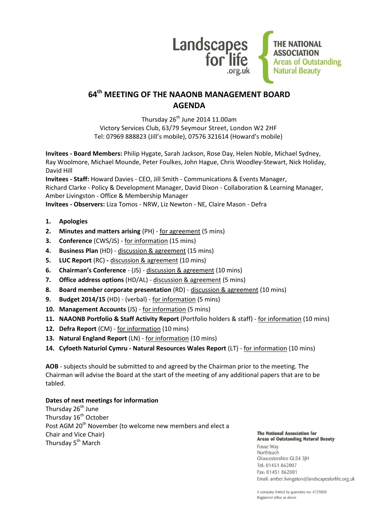

# **64 th MEETING OF THE NAAONB MANAGEMENT BOARD AGENDA**

Thursday  $26<sup>th</sup>$  June 2014 11.00am Victory Services Club, 63/79 Seymour Street, London W2 2HF Tel: 07969 888823 (Jill's mobile), 07576 321614 (Howard's mobile)

**Invitees - Board Members:** Philip Hygate, Sarah Jackson, Rose Day, Helen Noble, Michael Sydney, Ray Woolmore, Michael Mounde, Peter Foulkes, John Hague, Chris Woodley-Stewart, Nick Holiday, David Hill

**Invitees - Staff:** Howard Davies - CEO, Jill Smith - Communications & Events Manager, Richard Clarke - Policy & Development Manager, David Dixon - Collaboration & Learning Manager, Amber Livingston - Office & Membership Manager **Invitees - Observers:** Liza Tomos - NRW, Liz Newton - NE, Claire Mason - Defra

- **1. Apologies**
- **2. Minutes and matters arising** (PH) for agreement (5 mins)
- **3. Conference** (CWS/JS) for information (15 mins)
- **4. Business Plan** (HD) discussion & agreement (15 mins)
- **5. LUC Report** (RC) **-** discussion & agreement (10 mins)
- **6. Chairman's Conference**  (JS) discussion & agreement (10 mins)
- **7. Office address options** (HD/AL) discussion & agreement (5 mins)
- **8. Board member corporate presentation** (RD) discussion & agreement (10 mins)
- **9. Budget 2014/15** (HD) (verbal) for information (5 mins)
- **10. Management Accounts** (JS) for information (5 mins)
- **11. NAAONB Portfolio & Staff Activity Report** (Portfolio holders & staff) for information (10 mins)
- **12. Defra Report** (CM) for information (10 mins)
- **13. Natural England Report** (LN) for information (10 mins)
- **14. Cyfoeth Naturiol Cymru - Natural Resources Wales Report** (LT) for information (10 mins)

**AOB** - subjects should be submitted to and agreed by the Chairman prior to the meeting. The Chairman will advise the Board at the start of the meeting of any additional papers that are to be tabled.

## **Dates of next meetings for information**

Thursday 26<sup>th</sup> June Thursday 16<sup>th</sup> October Post AGM 20<sup>th</sup> November (to welcome new members and elect a Chair and Vice Chair) Thursday 5<sup>th</sup> March

#### **The National Association for Areas of Outstanding Natural Beauty**

Fosse Way Northleach Gloucestershire GL54 3JH Tel: 01451 862007 Fax: 01451 862001 Email: amber.livingston@landscapesforlife.org.uk

A company limited by guarantee no: 4729800 Registered office as above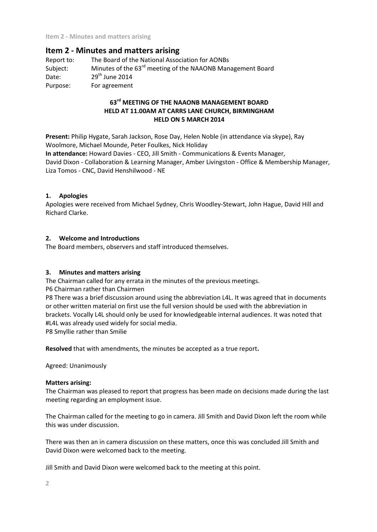## **Item 2 - Minutes and matters arising**

Report to: The Board of the National Association for AONBs Subject: Minutes of the 63<sup>rd</sup> meeting of the NAAONB Management Board Date: 29<sup>th</sup> June 2014 Purpose: For agreement

## **63rd MEETING OF THE NAAONB MANAGEMENT BOARD HELD AT 11.00AM AT CARRS LANE CHURCH, BIRMINGHAM HELD ON 5 MARCH 2014**

**Present:** Philip Hygate, Sarah Jackson, Rose Day, Helen Noble (in attendance via skype), Ray Woolmore, Michael Mounde, Peter Foulkes, Nick Holiday **In attendance:** Howard Davies - CEO, Jill Smith - Communications & Events Manager, David Dixon - Collaboration & Learning Manager, Amber Livingston - Office & Membership Manager, Liza Tomos - CNC, David Henshilwood - NE

## **1. Apologies**

Apologies were received from Michael Sydney, Chris Woodley-Stewart, John Hague, David Hill and Richard Clarke.

## **2. Welcome and Introductions**

The Board members, observers and staff introduced themselves.

## **3. Minutes and matters arising**

The Chairman called for any errata in the minutes of the previous meetings.

P6 Chairman rather than Chairmen

P8 There was a brief discussion around using the abbreviation L4L. It was agreed that in documents or other written material on first use the full version should be used with the abbreviation in brackets. Vocally L4L should only be used for knowledgeable internal audiences. It was noted that #L4L was already used widely for social media.

P8 Smyllie rather than Smilie

**Resolved** that with amendments, the minutes be accepted as a true report**.**

Agreed: Unanimously

## **Matters arising:**

The Chairman was pleased to report that progress has been made on decisions made during the last meeting regarding an employment issue.

The Chairman called for the meeting to go in camera. Jill Smith and David Dixon left the room while this was under discussion.

There was then an in camera discussion on these matters, once this was concluded Jill Smith and David Dixon were welcomed back to the meeting.

Jill Smith and David Dixon were welcomed back to the meeting at this point.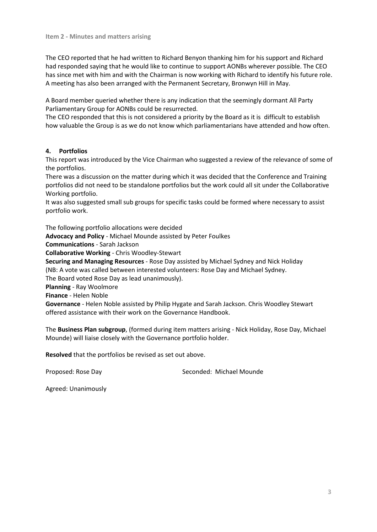The CEO reported that he had written to Richard Benyon thanking him for his support and Richard had responded saying that he would like to continue to support AONBs wherever possible. The CEO has since met with him and with the Chairman is now working with Richard to identify his future role. A meeting has also been arranged with the Permanent Secretary, Bronwyn Hill in May.

A Board member queried whether there is any indication that the seemingly dormant All Party Parliamentary Group for AONBs could be resurrected.

The CEO responded that this is not considered a priority by the Board as it is difficult to establish how valuable the Group is as we do not know which parliamentarians have attended and how often.

## **4. Portfolios**

This report was introduced by the Vice Chairman who suggested a review of the relevance of some of the portfolios.

There was a discussion on the matter during which it was decided that the Conference and Training portfolios did not need to be standalone portfolios but the work could all sit under the Collaborative Working portfolio.

It was also suggested small sub groups for specific tasks could be formed where necessary to assist portfolio work.

The following portfolio allocations were decided

**Advocacy and Policy** - Michael Mounde assisted by Peter Foulkes

**Communications** - Sarah Jackson

**Collaborative Working** - Chris Woodley-Stewart

**Securing and Managing Resources** - Rose Day assisted by Michael Sydney and Nick Holiday (NB: A vote was called between interested volunteers: Rose Day and Michael Sydney.

The Board voted Rose Day as lead unanimously).

**Planning** - Ray Woolmore

**Finance** - Helen Noble

**Governance** - Helen Noble assisted by Philip Hygate and Sarah Jackson. Chris Woodley Stewart offered assistance with their work on the Governance Handbook.

The **Business Plan subgroup**, (formed during item matters arising - Nick Holiday, Rose Day, Michael Mounde) will liaise closely with the Governance portfolio holder.

**Resolved** that the portfolios be revised as set out above.

Proposed: Rose Day New Seconded: Michael Mounde

Agreed: Unanimously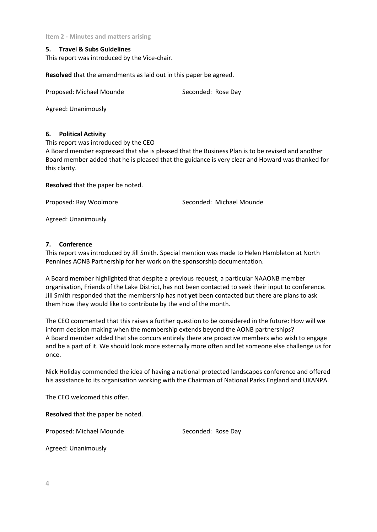### **5. Travel & Subs Guidelines**

This report was introduced by the Vice-chair.

**Resolved** that the amendments as laid out in this paper be agreed.

Proposed: Michael Mounde Seconded: Rose Day

Agreed: Unanimously

#### **6. Political Activity**

This report was introduced by the CEO

A Board member expressed that she is pleased that the Business Plan is to be revised and another Board member added that he is pleased that the guidance is very clear and Howard was thanked for this clarity.

**Resolved** that the paper be noted.

Proposed: Ray Woolmore Seconded: Michael Mounde

Agreed: Unanimously

## **7. Conference**

This report was introduced by Jill Smith. Special mention was made to Helen Hambleton at North Pennines AONB Partnership for her work on the sponsorship documentation.

A Board member highlighted that despite a previous request, a particular NAAONB member organisation, Friends of the Lake District, has not been contacted to seek their input to conference. Jill Smith responded that the membership has not **yet** been contacted but there are plans to ask them how they would like to contribute by the end of the month.

The CEO commented that this raises a further question to be considered in the future: How will we inform decision making when the membership extends beyond the AONB partnerships? A Board member added that she concurs entirely there are proactive members who wish to engage and be a part of it. We should look more externally more often and let someone else challenge us for once.

Nick Holiday commended the idea of having a national protected landscapes conference and offered his assistance to its organisation working with the Chairman of National Parks England and UKANPA.

The CEO welcomed this offer.

**Resolved** that the paper be noted.

Proposed: Michael Mounde Seconded: Rose Day

Agreed: Unanimously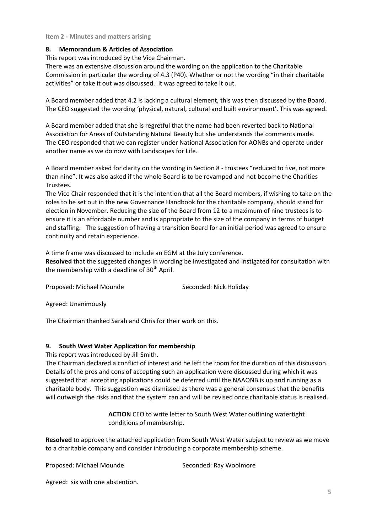## **8. Memorandum & Articles of Association**

This report was introduced by the Vice Chairman.

There was an extensive discussion around the wording on the application to the Charitable Commission in particular the wording of 4.3 (P40). Whether or not the wording "in their charitable activities" or take it out was discussed. It was agreed to take it out.

A Board member added that 4.2 is lacking a cultural element, this was then discussed by the Board. The CEO suggested the wording 'physical, natural, cultural and built environment'. This was agreed.

A Board member added that she is regretful that the name had been reverted back to National Association for Areas of Outstanding Natural Beauty but she understands the comments made. The CEO responded that we can register under National Association for AONBs and operate under another name as we do now with Landscapes for Life.

A Board member asked for clarity on the wording in Section 8 - trustees "reduced to five, not more than nine". It was also asked if the whole Board is to be revamped and not become the Charities Trustees.

The Vice Chair responded that it is the intention that all the Board members, if wishing to take on the roles to be set out in the new Governance Handbook for the charitable company, should stand for election in November. Reducing the size of the Board from 12 to a maximum of nine trustees is to ensure it is an affordable number and is appropriate to the size of the company in terms of budget and staffing. The suggestion of having a transition Board for an initial period was agreed to ensure continuity and retain experience.

A time frame was discussed to include an EGM at the July conference.

**Resolved** that the suggested changes in wording be investigated and instigated for consultation with the membership with a deadline of 30<sup>th</sup> April.

Proposed: Michael Mounde Seconded: Nick Holiday

Agreed: Unanimously

The Chairman thanked Sarah and Chris for their work on this.

## **9. South West Water Application for membership**

This report was introduced by Jill Smith.

The Chairman declared a conflict of interest and he left the room for the duration of this discussion. Details of the pros and cons of accepting such an application were discussed during which it was suggested that accepting applications could be deferred until the NAAONB is up and running as a charitable body. This suggestion was dismissed as there was a general consensus that the benefits will outweigh the risks and that the system can and will be revised once charitable status is realised.

> **ACTION** CEO to write letter to South West Water outlining watertight conditions of membership.

**Resolved** to approve the attached application from South West Water subject to review as we move to a charitable company and consider introducing a corporate membership scheme.

Proposed: Michael Mounde Seconded: Ray Woolmore

Agreed: six with one abstention.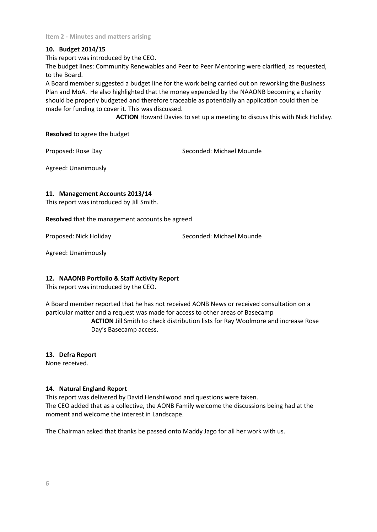## **10. Budget 2014/15**

This report was introduced by the CEO.

The budget lines: Community Renewables and Peer to Peer Mentoring were clarified, as requested, to the Board.

A Board member suggested a budget line for the work being carried out on reworking the Business Plan and MoA. He also highlighted that the money expended by the NAAONB becoming a charity should be properly budgeted and therefore traceable as potentially an application could then be made for funding to cover it. This was discussed.

**ACTION** Howard Davies to set up a meeting to discuss this with Nick Holiday.

## **Resolved** to agree the budget

Proposed: Rose Day Seconded: Michael Mounde

Agreed: Unanimously

## **11. Management Accounts 2013/14**

This report was introduced by Jill Smith.

**Resolved** that the management accounts be agreed

Proposed: Nick Holiday Seconded: Michael Mounde

Agreed: Unanimously

## **12. NAAONB Portfolio & Staff Activity Report**

This report was introduced by the CEO.

A Board member reported that he has not received AONB News or received consultation on a particular matter and a request was made for access to other areas of Basecamp

> **ACTION** Jill Smith to check distribution lists for Ray Woolmore and increase Rose Day's Basecamp access.

## **13. Defra Report**

None received.

## **14. Natural England Report**

This report was delivered by David Henshilwood and questions were taken. The CEO added that as a collective, the AONB Family welcome the discussions being had at the moment and welcome the interest in Landscape.

The Chairman asked that thanks be passed onto Maddy Jago for all her work with us.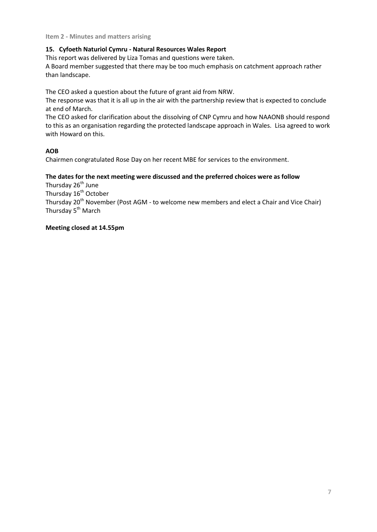## **15. Cyfoeth Naturiol Cymru - Natural Resources Wales Report**

This report was delivered by Liza Tomas and questions were taken.

A Board member suggested that there may be too much emphasis on catchment approach rather than landscape.

The CEO asked a question about the future of grant aid from NRW.

The response was that it is all up in the air with the partnership review that is expected to conclude at end of March.

The CEO asked for clarification about the dissolving of CNP Cymru and how NAAONB should respond to this as an organisation regarding the protected landscape approach in Wales. Lisa agreed to work with Howard on this.

## **AOB**

Chairmen congratulated Rose Day on her recent MBE for services to the environment.

## **The dates for the next meeting were discussed and the preferred choices were as follow**

Thursday 26<sup>th</sup> June

Thursday 16<sup>th</sup> October

Thursday 20<sup>th</sup> November (Post AGM - to welcome new members and elect a Chair and Vice Chair) Thursday 5<sup>th</sup> March

## **Meeting closed at 14.55pm**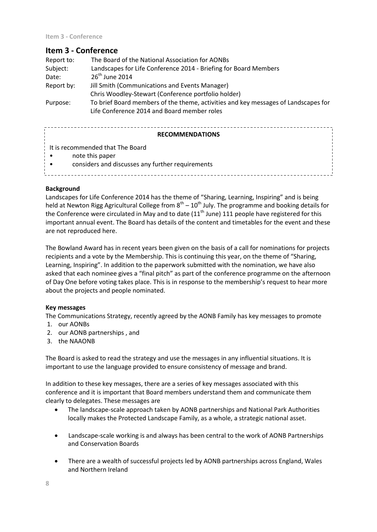## **Item 3 - Conference**

| Report to: | The Board of the National Association for AONBs                                                                                   |  |
|------------|-----------------------------------------------------------------------------------------------------------------------------------|--|
| Subject:   | Landscapes for Life Conference 2014 - Briefing for Board Members                                                                  |  |
| Date:      | $26th$ June 2014                                                                                                                  |  |
| Report by: | Jill Smith (Communications and Events Manager)                                                                                    |  |
|            | Chris Woodley-Stewart (Conference portfolio holder)                                                                               |  |
| Purpose:   | To brief Board members of the theme, activities and key messages of Landscapes for<br>Life Conference 2014 and Board member roles |  |
|            |                                                                                                                                   |  |

| <b>RECOMMENDATIONS</b>                                                                                  |  |
|---------------------------------------------------------------------------------------------------------|--|
| It is recommended that The Board<br>note this paper<br>considers and discusses any further requirements |  |

## **Background**

Landscapes for Life Conference 2014 has the theme of "Sharing, Learning, Inspiring" and is being held at Newton Rigg Agricultural College from  $8^{th} - 10^{th}$  July. The programme and booking details for the Conference were circulated in May and to date  $(11<sup>th</sup>$  June) 111 people have registered for this important annual event. The Board has details of the content and timetables for the event and these are not reproduced here.

The Bowland Award has in recent years been given on the basis of a call for nominations for projects recipients and a vote by the Membership. This is continuing this year, on the theme of "Sharing, Learning, Inspiring". In addition to the paperwork submitted with the nomination, we have also asked that each nominee gives a "final pitch" as part of the conference programme on the afternoon of Day One before voting takes place. This is in response to the membership's request to hear more about the projects and people nominated.

## **Key messages**

The Communications Strategy, recently agreed by the AONB Family has key messages to promote

- 1. our AONBs
- 2. our AONB partnerships , and
- 3. the NAAONB

The Board is asked to read the strategy and use the messages in any influential situations. It is important to use the language provided to ensure consistency of message and brand.

In addition to these key messages, there are a series of key messages associated with this conference and it is important that Board members understand them and communicate them clearly to delegates. These messages are

- The landscape-scale approach taken by AONB partnerships and National Park Authorities locally makes the Protected Landscape Family, as a whole, a strategic national asset.
- Landscape-scale working is and always has been central to the work of AONB Partnerships and Conservation Boards
- There are a wealth of successful projects led by AONB partnerships across England, Wales and Northern Ireland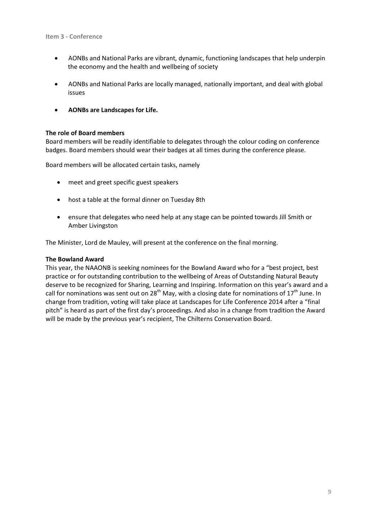- AONBs and National Parks are vibrant, dynamic, functioning landscapes that help underpin the economy and the health and wellbeing of society
- AONBs and National Parks are locally managed, nationally important, and deal with global issues
- **AONBs are Landscapes for Life.**

### **The role of Board members**

Board members will be readily identifiable to delegates through the colour coding on conference badges. Board members should wear their badges at all times during the conference please.

Board members will be allocated certain tasks, namely

- meet and greet specific guest speakers
- host a table at the formal dinner on Tuesday 8th
- ensure that delegates who need help at any stage can be pointed towards Jill Smith or Amber Livingston

The Minister, Lord de Mauley, will present at the conference on the final morning.

### **The Bowland Award**

This year, the NAAONB is seeking nominees for the Bowland Award who for a "best project, best practice or for outstanding contribution to the wellbeing of Areas of Outstanding Natural Beauty deserve to be recognized for Sharing, Learning and Inspiring. Information on this year's award and a call for nominations was sent out on 28<sup>th</sup> May, with a closing date for nominations of  $17<sup>th</sup>$  June. In change from tradition, voting will take place at Landscapes for Life Conference 2014 after a "final pitch" is heard as part of the first day's proceedings. And also in a change from tradition the Award will be made by the previous year's recipient, The Chilterns Conservation Board.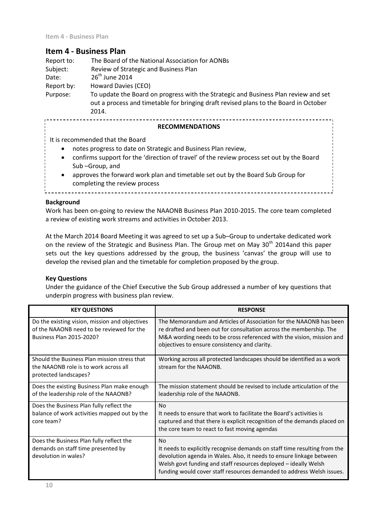## **Item 4 - Business Plan**

| Report to: | The Board of the National Association for AONBs                                                                                                                                      |
|------------|--------------------------------------------------------------------------------------------------------------------------------------------------------------------------------------|
| Subject:   | Review of Strategic and Business Plan                                                                                                                                                |
| Date:      | $26th$ June 2014                                                                                                                                                                     |
| Report by: | Howard Davies (CEO)                                                                                                                                                                  |
| Purpose:   | To update the Board on progress with the Strategic and Business Plan review and set<br>out a process and timetable for bringing draft revised plans to the Board in October<br>2014. |
|            | <b>RECOMMENDATIONS</b>                                                                                                                                                               |

It is recommended that the Board

- notes progress to date on Strategic and Business Plan review,
- confirms support for the 'direction of travel' of the review process set out by the Board Sub –Group, and
- approves the forward work plan and timetable set out by the Board Sub Group for completing the review process

## **Background**

Work has been on-going to review the NAAONB Business Plan 2010-2015. The core team completed a review of existing work streams and activities in October 2013.

At the March 2014 Board Meeting it was agreed to set up a Sub–Group to undertake dedicated work on the review of the Strategic and Business Plan. The Group met on May 30<sup>th</sup> 2014and this paper sets out the key questions addressed by the group, the business 'canvas' the group will use to develop the revised plan and the timetable for completion proposed by the group.

## **Key Questions**

Under the guidance of the Chief Executive the Sub Group addressed a number of key questions that underpin progress with business plan review.

| <b>KEY QUESTIONS</b>                                                                                                    | <b>RESPONSE</b>                                                                                                                                                                                                                                                                                            |
|-------------------------------------------------------------------------------------------------------------------------|------------------------------------------------------------------------------------------------------------------------------------------------------------------------------------------------------------------------------------------------------------------------------------------------------------|
| Do the existing vision, mission and objectives<br>of the NAAONB need to be reviewed for the<br>Business Plan 2015-2020? | The Memorandum and Articles of Association for the NAAONB has been<br>re drafted and been out for consultation across the membership. The<br>M&A wording needs to be cross referenced with the vision, mission and<br>objectives to ensure consistency and clarity.                                        |
| Should the Business Plan mission stress that<br>the NAAONB role is to work across all<br>protected landscapes?          | Working across all protected landscapes should be identified as a work<br>stream for the NAAONB.                                                                                                                                                                                                           |
| Does the existing Business Plan make enough<br>of the leadership role of the NAAONB?                                    | The mission statement should be revised to include articulation of the<br>leadership role of the NAAONB.                                                                                                                                                                                                   |
| Does the Business Plan fully reflect the<br>balance of work activities mapped out by the<br>core team?                  | N <sub>0</sub><br>It needs to ensure that work to facilitate the Board's activities is<br>captured and that there is explicit recognition of the demands placed on<br>the core team to react to fast moving agendas                                                                                        |
| Does the Business Plan fully reflect the<br>demands on staff time presented by<br>devolution in wales?                  | <b>No</b><br>It needs to explicitly recognise demands on staff time resulting from the<br>devolution agenda in Wales. Also, it needs to ensure linkage between<br>Welsh govt funding and staff resources deployed - ideally Welsh<br>funding would cover staff resources demanded to address Welsh issues. |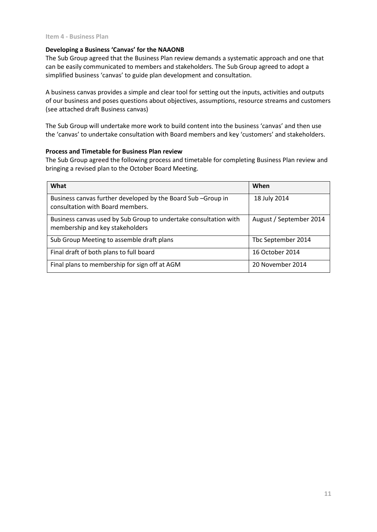## **Developing a Business 'Canvas' for the NAAONB**

The Sub Group agreed that the Business Plan review demands a systematic approach and one that can be easily communicated to members and stakeholders. The Sub Group agreed to adopt a simplified business 'canvas' to guide plan development and consultation.

A business canvas provides a simple and clear tool for setting out the inputs, activities and outputs of our business and poses questions about objectives, assumptions, resource streams and customers (see attached draft Business canvas)

The Sub Group will undertake more work to build content into the business 'canvas' and then use the 'canvas' to undertake consultation with Board members and key 'customers' and stakeholders.

## **Process and Timetable for Business Plan review**

The Sub Group agreed the following process and timetable for completing Business Plan review and bringing a revised plan to the October Board Meeting.

| What                                                                                                | When                    |
|-----------------------------------------------------------------------------------------------------|-------------------------|
| Business canvas further developed by the Board Sub-Group in<br>consultation with Board members.     | 18 July 2014            |
| Business canvas used by Sub Group to undertake consultation with<br>membership and key stakeholders | August / September 2014 |
| Sub Group Meeting to assemble draft plans                                                           | Tbc September 2014      |
| Final draft of both plans to full board                                                             | 16 October 2014         |
| Final plans to membership for sign off at AGM                                                       | 20 November 2014        |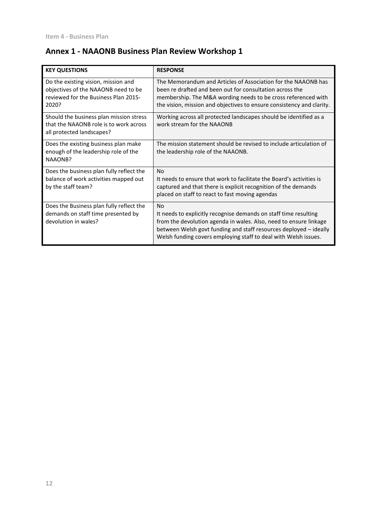# **Annex 1 - NAAONB Business Plan Review Workshop 1**

| <b>KEY QUESTIONS</b>                                                                                                        | <b>RESPONSE</b>                                                                                                                                                                                                                                                                                 |
|-----------------------------------------------------------------------------------------------------------------------------|-------------------------------------------------------------------------------------------------------------------------------------------------------------------------------------------------------------------------------------------------------------------------------------------------|
| Do the existing vision, mission and<br>objectives of the NAAONB need to be<br>reviewed for the Business Plan 2015-<br>2020? | The Memorandum and Articles of Association for the NAAONB has<br>been re drafted and been out for consultation across the<br>membership. The M&A wording needs to be cross referenced with<br>the vision, mission and objectives to ensure consistency and clarity.                             |
| Should the business plan mission stress<br>that the NAAONB role is to work across<br>all protected landscapes?              | Working across all protected landscapes should be identified as a<br>work stream for the NAAONB                                                                                                                                                                                                 |
| Does the existing business plan make<br>enough of the leadership role of the<br>NAAONB?                                     | The mission statement should be revised to include articulation of<br>the leadership role of the NAAONB.                                                                                                                                                                                        |
| Does the business plan fully reflect the<br>balance of work activities mapped out<br>by the staff team?                     | <b>No</b><br>It needs to ensure that work to facilitate the Board's activities is<br>captured and that there is explicit recognition of the demands<br>placed on staff to react to fast moving agendas                                                                                          |
| Does the Business plan fully reflect the<br>demands on staff time presented by<br>devolution in wales?                      | N <sub>0</sub><br>It needs to explicitly recognise demands on staff time resulting<br>from the devolution agenda in wales. Also, need to ensure linkage<br>between Welsh govt funding and staff resources deployed - ideally<br>Welsh funding covers employing staff to deal with Welsh issues. |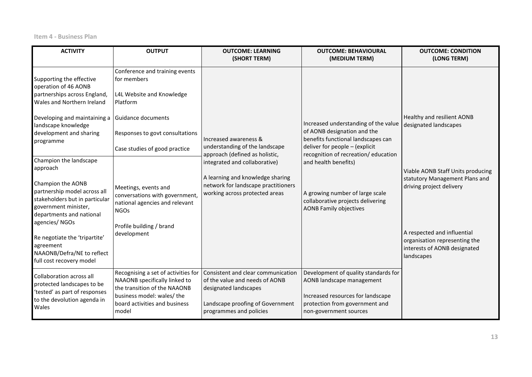**Item 4 - Business Plan**

| <b>ACTIVITY</b>                                                                                                                                                                                                                                                                                                                                                                                                                                                                                                         | <b>OUTPUT</b>                                                                                                                                                                                                                                                                                                                          | <b>OUTCOME: LEARNING</b><br>(SHORT TERM)                                                                                                                                                                                                | <b>OUTCOME: BEHAVIOURAL</b><br>(MEDIUM TERM)                                                                                                                                                                                                                                                                         | <b>OUTCOME: CONDITION</b><br>(LONG TERM)                                                                                                                                                                                                                             |
|-------------------------------------------------------------------------------------------------------------------------------------------------------------------------------------------------------------------------------------------------------------------------------------------------------------------------------------------------------------------------------------------------------------------------------------------------------------------------------------------------------------------------|----------------------------------------------------------------------------------------------------------------------------------------------------------------------------------------------------------------------------------------------------------------------------------------------------------------------------------------|-----------------------------------------------------------------------------------------------------------------------------------------------------------------------------------------------------------------------------------------|----------------------------------------------------------------------------------------------------------------------------------------------------------------------------------------------------------------------------------------------------------------------------------------------------------------------|----------------------------------------------------------------------------------------------------------------------------------------------------------------------------------------------------------------------------------------------------------------------|
| Supporting the effective<br>operation of 46 AONB<br>partnerships across England,<br>Wales and Northern Ireland<br>Developing and maintaining a<br>landscape knowledge<br>development and sharing<br>programme<br>Champion the landscape<br>approach<br>Champion the AONB<br>partnership model across all<br>stakeholders but in particular<br>government minister,<br>departments and national<br>agencies/NGOs<br>Re negotiate the 'tripartite'<br>agreement<br>NAAONB/Defra/NE to reflect<br>full cost recovery model | Conference and training events<br>for members<br>L4L Website and Knowledge<br>Platform<br>Guidance documents<br>Responses to govt consultations<br>Case studies of good practice<br>Meetings, events and<br>conversations with government,<br>national agencies and relevant<br><b>NGOs</b><br>Profile building / brand<br>development | Increased awareness &<br>understanding of the landscape<br>approach (defined as holistic,<br>integrated and collaborative)<br>A learning and knowledge sharing<br>network for landscape practitioners<br>working across protected areas | Increased understanding of the value<br>of AONB designation and the<br>benefits functional landscapes can<br>deliver for people - (explicit<br>recognition of recreation/ education<br>and health benefits)<br>A growing number of large scale<br>collaborative projects delivering<br><b>AONB Family objectives</b> | Healthy and resilient AONB<br>designated landscapes<br>Viable AONB Staff Units producing<br>statutory Management Plans and<br>driving project delivery<br>A respected and influential<br>organisation representing the<br>interests of AONB designated<br>landscapes |
| Collaboration across all<br>protected landscapes to be<br>'tested' as part of responses<br>to the devolution agenda in<br>Wales                                                                                                                                                                                                                                                                                                                                                                                         | Recognising a set of activities for<br>NAAONB specifically linked to<br>the transition of the NAAONB<br>business model: wales/ the<br>board activities and business<br>model                                                                                                                                                           | Consistent and clear communication<br>of the value and needs of AONB<br>designated landscapes<br>Landscape proofing of Government<br>programmes and policies                                                                            | Development of quality standards for<br>AONB landscape management<br>Increased resources for landscape<br>protection from government and<br>non-government sources                                                                                                                                                   |                                                                                                                                                                                                                                                                      |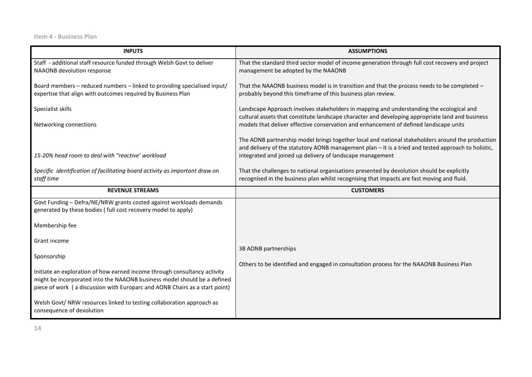**Item 4 - Business Plan**

| <b>INPUTS</b>                                                                                                                                                                                                                        | <b>ASSUMPTIONS</b>                                                                                                                                                                                                                                                                                                                                            |
|--------------------------------------------------------------------------------------------------------------------------------------------------------------------------------------------------------------------------------------|---------------------------------------------------------------------------------------------------------------------------------------------------------------------------------------------------------------------------------------------------------------------------------------------------------------------------------------------------------------|
| Staff - additional staff resource funded through Welsh Govt to deliver<br>NAAONB devolution response                                                                                                                                 | That the standard third sector model of income generation through full cost recovery and project<br>management be adopted by the NAAONB                                                                                                                                                                                                                       |
| Board members - reduced numbers - linked to providing specialised input/<br>expertise that align with outcomes required by Business Plan                                                                                             | That the NAAONB business model is in transition and that the process needs to be completed -<br>probably beyond this timeframe of this business plan review.                                                                                                                                                                                                  |
| Specialist skills                                                                                                                                                                                                                    | Landscape Approach involves stakeholders in mapping and understanding the ecological and<br>cultural assets that constitute landscape character and developing appropriate land and business                                                                                                                                                                  |
| Networking connections<br>15-20% head room to deal with "reactive' workload                                                                                                                                                          | models that deliver effective conservation and enhancement of defined landscape units<br>The AONB partnership model brings together local and national stakeholders around the production<br>and delivery of the statutory AONB management plan - It is a tried and tested approach to holistic,<br>integrated and joined up delivery of landscape management |
| Specific identification of facilitating board activity as important draw on<br>staff time                                                                                                                                            | That the challenges to national organisations presented by devolution should be explicitly<br>recognised in the business plan whilst recognising that impacts are fast moving and fluid.                                                                                                                                                                      |
| <b>REVENUE STREAMS</b>                                                                                                                                                                                                               | <b>CUSTOMERS</b>                                                                                                                                                                                                                                                                                                                                              |
| Govt Funding - Defra/NE/NRW grants costed against workloads demands<br>generated by these bodies (full cost recovery model to apply)                                                                                                 |                                                                                                                                                                                                                                                                                                                                                               |
| Membership fee                                                                                                                                                                                                                       |                                                                                                                                                                                                                                                                                                                                                               |
| Grant income                                                                                                                                                                                                                         | 38 AONB partnerships                                                                                                                                                                                                                                                                                                                                          |
| Sponsorship                                                                                                                                                                                                                          | Others to be identified and engaged in consultation process for the NAAONB Business Plan                                                                                                                                                                                                                                                                      |
| Initiate an exploration of how earned income through consultancy activity<br>might be incorporated into the NAAONB business model should be a defined<br>piece of work (a discussion with Europarc and AONB Chairs as a start point) |                                                                                                                                                                                                                                                                                                                                                               |
| Welsh Govt/ NRW resources linked to testing collaboration approach as<br>consequence of devolution                                                                                                                                   |                                                                                                                                                                                                                                                                                                                                                               |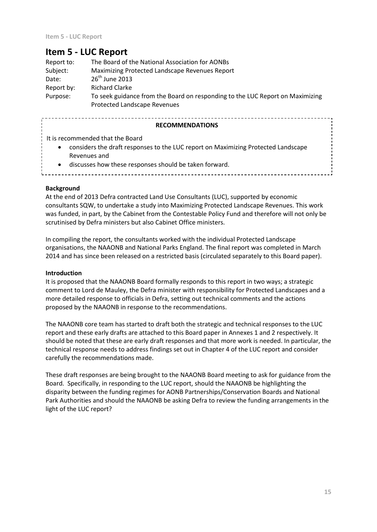| Report to: | The Board of the National Association for AONBs                                                                      |
|------------|----------------------------------------------------------------------------------------------------------------------|
| Subject:   | Maximizing Protected Landscape Revenues Report                                                                       |
| Date:      | $26th$ June 2013                                                                                                     |
| Report by: | <b>Richard Clarke</b>                                                                                                |
| Purpose:   | To seek guidance from the Board on responding to the LUC Report on Maximizing<br><b>Protected Landscape Revenues</b> |

#### **RECOMMENDATIONS**

. 2 2 2 2 2 2 2 2 2 2 2

It is recommended that the Board

 considers the draft responses to the LUC report on Maximizing Protected Landscape Revenues and

\_\_\_\_\_\_\_\_\_\_\_\_\_\_\_\_\_

- discusses how these responses should be taken forward.
- **Background**

At the end of 2013 Defra contracted Land Use Consultants (LUC), supported by economic consultants SQW, to undertake a study into Maximizing Protected Landscape Revenues. This work was funded, in part, by the Cabinet from the Contestable Policy Fund and therefore will not only be scrutinised by Defra ministers but also Cabinet Office ministers.

In compiling the report, the consultants worked with the individual Protected Landscape organisations, the NAAONB and National Parks England. The final report was completed in March 2014 and has since been released on a restricted basis (circulated separately to this Board paper).

#### **Introduction**

It is proposed that the NAAONB Board formally responds to this report in two ways; a strategic comment to Lord de Mauley, the Defra minister with responsibility for Protected Landscapes and a more detailed response to officials in Defra, setting out technical comments and the actions proposed by the NAAONB in response to the recommendations.

The NAAONB core team has started to draft both the strategic and technical responses to the LUC report and these early drafts are attached to this Board paper in Annexes 1 and 2 respectively. It should be noted that these are early draft responses and that more work is needed. In particular, the technical response needs to address findings set out in Chapter 4 of the LUC report and consider carefully the recommendations made.

These draft responses are being brought to the NAAONB Board meeting to ask for guidance from the Board. Specifically, in responding to the LUC report, should the NAAONB be highlighting the disparity between the funding regimes for AONB Partnerships/Conservation Boards and National Park Authorities and should the NAAONB be asking Defra to review the funding arrangements in the light of the LUC report?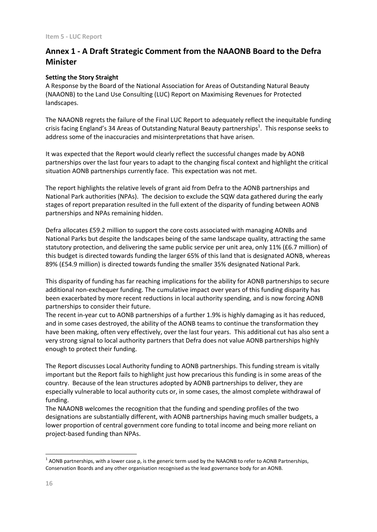# **Annex 1 - A Draft Strategic Comment from the NAAONB Board to the Defra Minister**

## **Setting the Story Straight**

A Response by the Board of the National Association for Areas of Outstanding Natural Beauty (NAAONB) to the Land Use Consulting (LUC) Report on Maximising Revenues for Protected landscapes.

The NAAONB regrets the failure of the Final LUC Report to adequately reflect the inequitable funding crisis facing England's 34 Areas of Outstanding Natural Beauty partnerships<sup>1</sup>. This response seeks to address some of the inaccuracies and misinterpretations that have arisen.

It was expected that the Report would clearly reflect the successful changes made by AONB partnerships over the last four years to adapt to the changing fiscal context and highlight the critical situation AONB partnerships currently face. This expectation was not met.

The report highlights the relative levels of grant aid from Defra to the AONB partnerships and National Park authorities (NPAs). The decision to exclude the SQW data gathered during the early stages of report preparation resulted in the full extent of the disparity of funding between AONB partnerships and NPAs remaining hidden.

Defra allocates £59.2 million to support the core costs associated with managing AONBs and National Parks but despite the landscapes being of the same landscape quality, attracting the same statutory protection, and delivering the same public service per unit area, only 11% (£6.7 million) of this budget is directed towards funding the larger 65% of this land that is designated AONB, whereas 89% (£54.9 million) is directed towards funding the smaller 35% designated National Park.

This disparity of funding has far reaching implications for the ability for AONB partnerships to secure additional non-exchequer funding. The cumulative impact over years of this funding disparity has been exacerbated by more recent reductions in local authority spending, and is now forcing AONB partnerships to consider their future.

The recent in-year cut to AONB partnerships of a further 1.9% is highly damaging as it has reduced, and in some cases destroyed, the ability of the AONB teams to continue the transformation they have been making, often very effectively, over the last four years. This additional cut has also sent a very strong signal to local authority partners that Defra does not value AONB partnerships highly enough to protect their funding.

The Report discusses Local Authority funding to AONB partnerships. This funding stream is vitally important but the Report fails to highlight just how precarious this funding is in some areas of the country. Because of the lean structures adopted by AONB partnerships to deliver, they are especially vulnerable to local authority cuts or, in some cases, the almost complete withdrawal of funding.

The NAAONB welcomes the recognition that the funding and spending profiles of the two designations are substantially different, with AONB partnerships having much smaller budgets, a lower proportion of central government core funding to total income and being more reliant on project-based funding than NPAs.

1

 $^1$  AONB partnerships, with a lower case p, is the generic term used by the NAAONB to refer to AONB Partnerships, Conservation Boards and any other organisation recognised as the lead governance body for an AONB.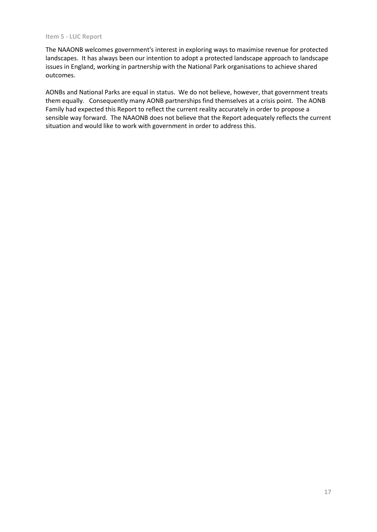The NAAONB welcomes government's interest in exploring ways to maximise revenue for protected landscapes. It has always been our intention to adopt a protected landscape approach to landscape issues in England, working in partnership with the National Park organisations to achieve shared outcomes.

AONBs and National Parks are equal in status. We do not believe, however, that government treats them equally. Consequently many AONB partnerships find themselves at a crisis point. The AONB Family had expected this Report to reflect the current reality accurately in order to propose a sensible way forward. The NAAONB does not believe that the Report adequately reflects the current situation and would like to work with government in order to address this.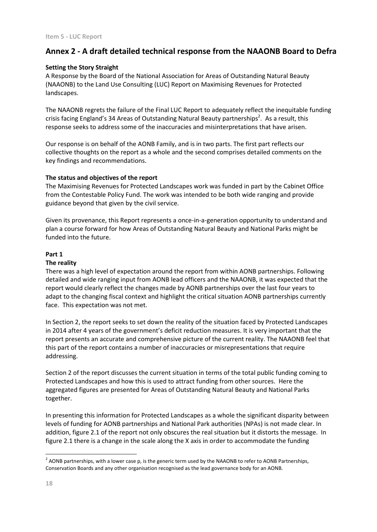## **Annex 2 - A draft detailed technical response from the NAAONB Board to Defra**

### **Setting the Story Straight**

A Response by the Board of the National Association for Areas of Outstanding Natural Beauty (NAAONB) to the Land Use Consulting (LUC) Report on Maximising Revenues for Protected landscapes.

The NAAONB regrets the failure of the Final LUC Report to adequately reflect the inequitable funding crisis facing England's 34 Areas of Outstanding Natural Beauty partnerships<sup>2</sup>. As a result, this response seeks to address some of the inaccuracies and misinterpretations that have arisen.

Our response is on behalf of the AONB Family, and is in two parts. The first part reflects our collective thoughts on the report as a whole and the second comprises detailed comments on the key findings and recommendations.

#### **The status and objectives of the report**

The Maximising Revenues for Protected Landscapes work was funded in part by the Cabinet Office from the Contestable Policy Fund. The work was intended to be both wide ranging and provide guidance beyond that given by the civil service.

Given its provenance, this Report represents a once-in-a-generation opportunity to understand and plan a course forward for how Areas of Outstanding Natural Beauty and National Parks might be funded into the future.

#### **Part 1**

#### **The reality**

There was a high level of expectation around the report from within AONB partnerships. Following detailed and wide ranging input from AONB lead officers and the NAAONB, it was expected that the report would clearly reflect the changes made by AONB partnerships over the last four years to adapt to the changing fiscal context and highlight the critical situation AONB partnerships currently face. This expectation was not met.

In Section 2, the report seeks to set down the reality of the situation faced by Protected Landscapes in 2014 after 4 years of the government's deficit reduction measures. It is very important that the report presents an accurate and comprehensive picture of the current reality. The NAAONB feel that this part of the report contains a number of inaccuracies or misrepresentations that require addressing.

Section 2 of the report discusses the current situation in terms of the total public funding coming to Protected Landscapes and how this is used to attract funding from other sources. Here the aggregated figures are presented for Areas of Outstanding Natural Beauty and National Parks together.

In presenting this information for Protected Landscapes as a whole the significant disparity between levels of funding for AONB partnerships and National Park authorities (NPAs) is not made clear. In addition, figure 2.1 of the report not only obscures the real situation but it distorts the message. In figure 2.1 there is a change in the scale along the X axis in order to accommodate the funding

1

 $^2$  AONB partnerships, with a lower case p, is the generic term used by the NAAONB to refer to AONB Partnerships, Conservation Boards and any other organisation recognised as the lead governance body for an AONB.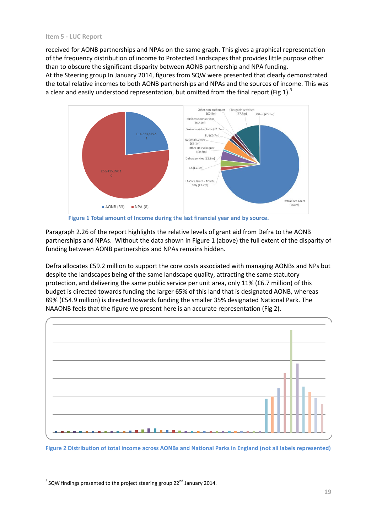received for AONB partnerships and NPAs on the same graph. This gives a graphical representation of the frequency distribution of income to Protected Landscapes that provides little purpose other than to obscure the significant disparity between AONB partnership and NPA funding.

At the Steering group In January 2014, figures from SQW were presented that clearly demonstrated the total relative incomes to both AONB partnerships and NPAs and the sources of income. This was a clear and easily understood representation, but omitted from the final report (Fig 1).<sup>3</sup>



**Figure 1 Total amount of Income during the last financial year and by source.**

Paragraph 2.26 of the report highlights the relative levels of grant aid from Defra to the AONB partnerships and NPAs. Without the data shown in Figure 1 (above) the full extent of the disparity of funding between AONB partnerships and NPAs remains hidden.

Defra allocates £59.2 million to support the core costs associated with managing AONBs and NPs but despite the landscapes being of the same landscape quality, attracting the same statutory protection, and delivering the same public service per unit area, only 11% (£6.7 million) of this budget is directed towards funding the larger 65% of this land that is designated AONB, whereas 89% (£54.9 million) is directed towards funding the smaller 35% designated National Park. The NAAONB feels that the figure we present here is an accurate representation (Fig 2).



**Figure 2 Distribution of total income across AONBs and National Parks in England (not all labels represented)**

<sup>1</sup>  $3$  SQW findings presented to the project steering group 22<sup>nd</sup> January 2014.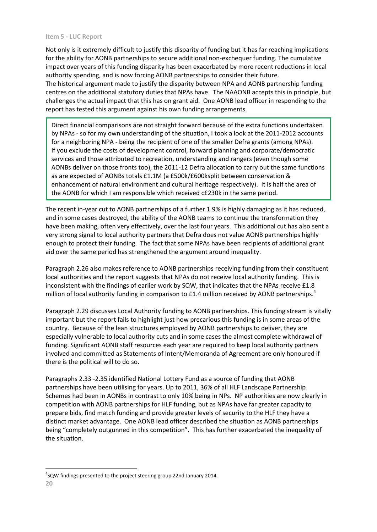Not only is it extremely difficult to justify this disparity of funding but it has far reaching implications for the ability for AONB partnerships to secure additional non-exchequer funding. The cumulative impact over years of this funding disparity has been exacerbated by more recent reductions in local authority spending, and is now forcing AONB partnerships to consider their future. The historical argument made to justify the disparity between NPA and AONB partnership funding centres on the additional statutory duties that NPAs have. The NAAONB accepts this in principle, but challenges the actual impact that this has on grant aid. One AONB lead officer in responding to the report has tested this argument against his own funding arrangements.

Direct financial comparisons are not straight forward because of the extra functions undertaken by NPAs - so for my own understanding of the situation, I took a look at the 2011-2012 accounts for a neighboring NPA - being the recipient of one of the smaller Defra grants (among NPAs). If you exclude the costs of development control, forward planning and corporate/democratic services and those attributed to recreation, understanding and rangers (even though some AONBs deliver on those fronts too), the 2011-12 Defra allocation to carry out the same functions as are expected of AONBs totals £1.1M (a £500k/£600ksplit between conservation & enhancement of natural environment and cultural heritage respectively). It is half the area of the AONB for which I am responsible which received c£230k in the same period.

The recent in-year cut to AONB partnerships of a further 1.9% is highly damaging as it has reduced, and in some cases destroyed, the ability of the AONB teams to continue the transformation they have been making, often very effectively, over the last four years. This additional cut has also sent a very strong signal to local authority partners that Defra does not value AONB partnerships highly enough to protect their funding. The fact that some NPAs have been recipients of additional grant aid over the same period has strengthened the argument around inequality.

Paragraph 2.26 also makes reference to AONB partnerships receiving funding from their constituent local authorities and the report suggests that NPAs do not receive local authority funding. This is inconsistent with the findings of earlier work by SQW, that indicates that the NPAs receive £1.8 million of local authority funding in comparison to  $E1.4$  million received by AONB partnerships.<sup>4</sup>

Paragraph 2.29 discusses Local Authority funding to AONB partnerships. This funding stream is vitally important but the report fails to highlight just how precarious this funding is in some areas of the country. Because of the lean structures employed by AONB partnerships to deliver, they are especially vulnerable to local authority cuts and in some cases the almost complete withdrawal of funding. Significant AONB staff resources each year are required to keep local authority partners involved and committed as Statements of Intent/Memoranda of Agreement are only honoured if there is the political will to do so.

Paragraphs 2.33 -2.35 identified National Lottery Fund as a source of funding that AONB partnerships have been utilising for years. Up to 2011, 36% of all HLF Landscape Partnership Schemes had been in AONBs in contrast to only 10% being in NPs. NP authorities are now clearly in competition with AONB partnerships for HLF funding, but as NPAs have far greater capacity to prepare bids, find match funding and provide greater levels of security to the HLF they have a distinct market advantage. One AONB lead officer described the situation as AONB partnerships being "completely outgunned in this competition". This has further exacerbated the inequality of the situation.

1 <sup>4</sup>SQW findings presented to the project steering group 22nd January 2014.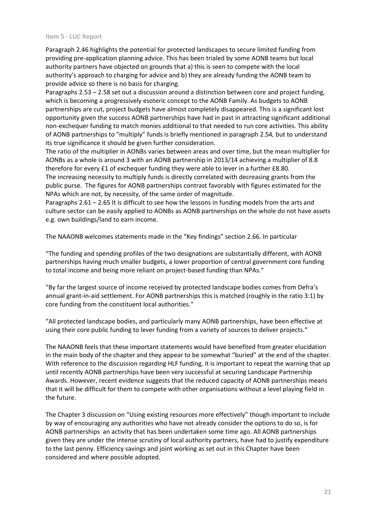Paragraph 2.46 highlights the potential for protected landscapes to secure limited funding from providing pre-application planning advice. This has been trialed by some AONB teams but local authority partners have objected on grounds that a) this is seen to compete with the local authority's approach to charging for advice and b) they are already funding the AONB team to provide advice so there is no basis for charging.

Paragraphs 2.53 – 2.58 set out a discussion around a distinction between core and project funding, which is becoming a progressively esoteric concept to the AONB Family. As budgets to AONB partnerships are cut, project budgets have almost completely disappeared. This is a significant lost opportunity given the success AONB partnerships have had in past in attracting significant additional non-exchequer funding to match monies additional to that needed to run core activities. This ability of AONB partnerships to "multiply" funds is briefly mentioned in paragraph 2.54, but to understand its true significance it should be given further consideration.

The ratio of the multiplier in AONBs varies between areas and over time, but the mean multiplier for AONBs as a whole is around 3 with an AONB partnership in 2013/14 achieving a multiplier of 8.8 therefore for every £1 of exchequer funding they were able to lever in a further £8.80. The increasing necessity to multiply funds is directly correlated with decreasing grants from the

public purse. The figures for AONB partnerships contrast favorably with figures estimated for the NPAs which are not, by necessity, of the same order of magnitude.

Paragraphs 2.61 – 2.65 It is difficult to see how the lessons in funding models from the arts and culture sector can be easily applied to AONBs as AONB partnerships on the whole do not have assets e.g. own buildings/land to earn income.

The NAAONB welcomes statements made in the "Key findings" section 2.66. In particular

"The funding and spending profiles of the two designations are substantially different, with AONB partnerships having much smaller budgets, a lower proportion of central government core funding to total income and being more reliant on project-based funding than NPAs."

"By far the largest source of income received by protected landscape bodies comes from Defra's annual grant-in-aid settlement. For AONB partnerships this is matched (roughly in the ratio 3:1) by core funding from the constituent local authorities."

"All protected landscape bodies, and particularly many AONB partnerships, have been effective at using their core public funding to lever funding from a variety of sources to deliver projects."

The NAAONB feels that these important statements would have benefited from greater elucidation in the main body of the chapter and they appear to be somewhat "buried" at the end of the chapter. With reference to the discussion regarding HLF funding, it is important to repeat the warning that up until recently AONB partnerships have been very successful at securing Landscape Partnership Awards. However, recent evidence suggests that the reduced capacity of AONB partnerships means that it will be difficult for them to compete with other organisations without a level playing field in the future.

The Chapter 3 discussion on "Using existing resources more effectively" though important to include by way of encouraging any authorities who have not already consider the options to do so, is for AONB partnerships an activity that has been undertaken some time ago. All AONB partnerships given they are under the intense scrutiny of local authority partners, have had to justify expenditure to the last penny. Efficiency savings and joint working as set out in this Chapter have been considered and where possible adopted.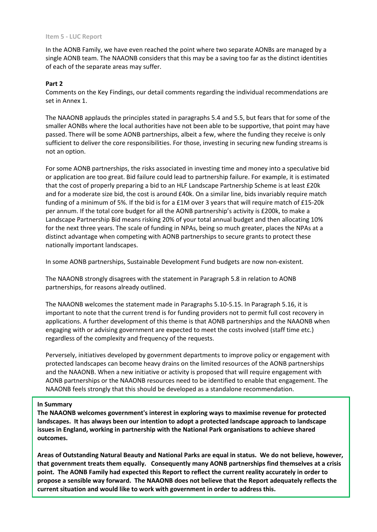In the AONB Family, we have even reached the point where two separate AONBs are managed by a single AONB team. The NAAONB considers that this may be a saving too far as the distinct identities of each of the separate areas may suffer.

### **Part 2**

Comments on the Key Findings, our detail comments regarding the individual recommendations are set in Annex 1.

The NAAONB applauds the principles stated in paragraphs 5.4 and 5.5, but fears that for some of the smaller AONBs where the local authorities have not been able to be supportive, that point may have passed. There will be some AONB partnerships, albeit a few, where the funding they receive is only sufficient to deliver the core responsibilities. For those, investing in securing new funding streams is not an option.

For some AONB partnerships, the risks associated in investing time and money into a speculative bid or application are too great. Bid failure could lead to partnership failure. For example, it is estimated that the cost of properly preparing a bid to an HLF Landscape Partnership Scheme is at least £20k and for a moderate size bid, the cost is around £40k. On a similar line, bids invariably require match funding of a minimum of 5%. If the bid is for a £1M over 3 years that will require match of £15-20k per annum. If the total core budget for all the AONB partnership's activity is £200k, to make a Landscape Partnership Bid means risking 20% of your total annual budget and then allocating 10% for the next three years. The scale of funding in NPAs, being so much greater, places the NPAs at a distinct advantage when competing with AONB partnerships to secure grants to protect these nationally important landscapes.

In some AONB partnerships, Sustainable Development Fund budgets are now non-existent.

The NAAONB strongly disagrees with the statement in Paragraph 5.8 in relation to AONB partnerships, for reasons already outlined.

The NAAONB welcomes the statement made in Paragraphs 5.10-5.15. In Paragraph 5.16, it is important to note that the current trend is for funding providers not to permit full cost recovery in applications. A further development of this theme is that AONB partnerships and the NAAONB when engaging with or advising government are expected to meet the costs involved (staff time etc.) regardless of the complexity and frequency of the requests.

Perversely, initiatives developed by government departments to improve policy or engagement with protected landscapes can become heavy drains on the limited resources of the AONB partnerships and the NAAONB. When a new initiative or activity is proposed that will require engagement with AONB partnerships or the NAAONB resources need to be identified to enable that engagement. The NAAONB feels strongly that this should be developed as a standalone recommendation.

#### **In Summary**

**The NAAONB welcomes government's interest in exploring ways to maximise revenue for protected landscapes. It has always been our intention to adopt a protected landscape approach to landscape issues in England, working in partnership with the National Park organisations to achieve shared outcomes.** 

**22 propose a sensible way forward. The NAAONB does not believe that the Report adequately reflects the Areas of Outstanding Natural Beauty and National Parks are equal in status. We do not believe, however, that government treats them equally. Consequently many AONB partnerships find themselves at a crisis point. The AONB Family had expected this Report to reflect the current reality accurately in order to current situation and would like to work with government in order to address this.**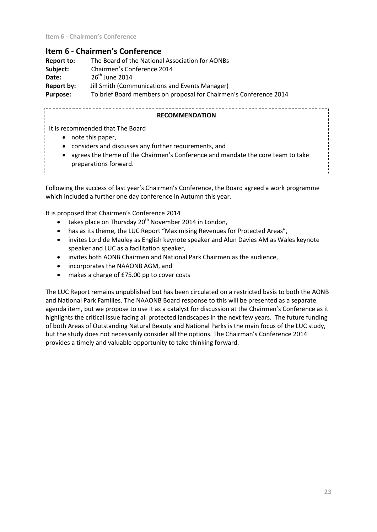## **Item 6 - Chairmen's Conference**

| Report to:      | The Board of the National Association for AONBs                   |
|-----------------|-------------------------------------------------------------------|
| Subject:        | Chairmen's Conference 2014                                        |
| Date:           | $26th$ June 2014                                                  |
| Report by:      | Jill Smith (Communications and Events Manager)                    |
| <b>Purpose:</b> | To brief Board members on proposal for Chairmen's Conference 2014 |

#### **RECOMMENDATION**

It is recommended that The Board

- note this paper,
- considers and discusses any further requirements, and
- preparations forward. agrees the theme of the Chairmen's Conference and mandate the core team to take

Following the success of last year's Chairmen's Conference, the Board agreed a work programme which included a further one day conference in Autumn this year.

It is proposed that Chairmen's Conference 2014

- takes place on Thursday  $20<sup>th</sup>$  November 2014 in London,
- has as its theme, the LUC Report "Maximising Revenues for Protected Areas",
- invites Lord de Mauley as English keynote speaker and Alun Davies AM as Wales keynote speaker and LUC as a facilitation speaker,
- invites both AONB Chairmen and National Park Chairmen as the audience,
- incorporates the NAAONB AGM, and
- makes a charge of £75.00 pp to cover costs

The LUC Report remains unpublished but has been circulated on a restricted basis to both the AONB and National Park Families. The NAAONB Board response to this will be presented as a separate agenda item, but we propose to use it as a catalyst for discussion at the Chairmen's Conference as it highlights the critical issue facing all protected landscapes in the next few years. The future funding of both Areas of Outstanding Natural Beauty and National Parks is the main focus of the LUC study, but the study does not necessarily consider all the options. The Chairman's Conference 2014 provides a timely and valuable opportunity to take thinking forward.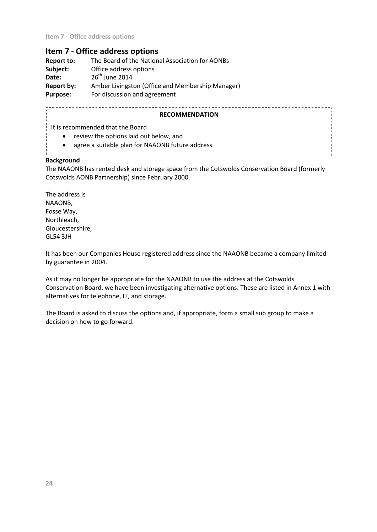## **Item 7 - Office address options**

| Report to:      | The Board of the National Association for AONBs  |
|-----------------|--------------------------------------------------|
| Subject:        | Office address options                           |
| Date:           | $26th$ June 2014                                 |
| Report by:      | Amber Livingston (Office and Membership Manager) |
| <b>Purpose:</b> | For discussion and agreement                     |

### **RECOMMENDATION**

\_\_\_\_\_\_\_\_\_\_\_\_\_\_\_\_\_\_\_\_\_\_\_\_\_\_\_\_\_\_\_\_\_\_\_\_\_\_

It is recommended that the Board

- review the options laid out below, and
- agree a suitable plan for NAAONB future address

\_\_\_\_\_\_\_\_\_\_\_\_\_\_\_\_\_\_\_\_\_

\_\_\_\_\_\_\_\_\_\_\_\_\_\_\_\_\_\_\_\_\_\_\_\_

### **Background**

The NAAONB has rented desk and storage space from the Cotswolds Conservation Board (formerly Cotswolds AONB Partnership) since February 2000.

The address is NAAONB, Fosse Way, Northleach, Gloucestershire, GL54 3JH

It has been our Companies House registered address since the NAAONB became a company limited by guarantee in 2004.

As it may no longer be appropriate for the NAAONB to use the address at the Cotswolds Conservation Board, we have been investigating alternative options. These are listed in Annex 1 with alternatives for telephone, IT, and storage.

The Board is asked to discuss the options and, if appropriate, form a small sub group to make a decision on how to go forward.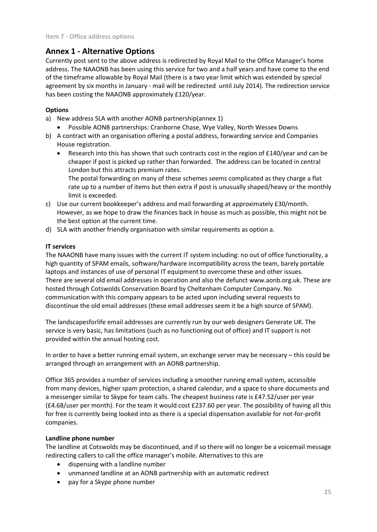## **Annex 1 - Alternative Options**

Currently post sent to the above address is redirected by Royal Mail to the Office Manager's home address. The NAAONB has been using this service for two and a half years and have come to the end of the timeframe allowable by Royal Mail (there is a two year limit which was extended by special agreement by six months in January - mail will be redirected until July 2014). The redirection service has been costing the NAAONB approximately £120/year.

## **Options**

- a) New address SLA with another AONB partnership(annex 1)
	- Possible AONB partnerships: Cranborne Chase, Wye Valley, North Wessex Downs
- b) A contract with an organisation offering a postal address, forwarding service and Companies House registration.
	- Research into this has shown that such contracts cost in the region of £140/year and can be cheaper if post is picked up rather than forwarded. The address can be located in central London but this attracts premium rates.

The postal forwarding on many of these schemes seems complicated as they charge a flat rate up to a number of items but then extra if post is unusually shaped/heavy or the monthly limit is exceeded.

- c) Use our current bookkeeper's address and mail forwarding at approximately £30/month. However, as we hope to draw the finances back in house as much as possible, this might not be the best option at the current time.
- d) SLA with another friendly organisation with similar requirements as option a.

## **IT services**

The NAAONB have many issues with the current IT system including: no out of office functionality, a high quantity of SPAM emails, software/hardware incompatibility across the team, barely portable laptops and instances of use of personal IT equipment to overcome these and other issues. There are several old email addresses in operation and also the defunct www.aonb.org.uk. These are hosted through Cotswolds Conservation Board by Cheltenham Computer Company. No communication with this company appears to be acted upon including several requests to discontinue the old email addresses (these email addresses seem it be a high source of SPAM).

The landscapesforlife email addresses are currently run by our web designers Generate UK. The service is very basic, has limitations (such as no functioning out of office) and IT support is not provided within the annual hosting cost.

In order to have a better running email system, an exchange server may be necessary – this could be arranged through an arrangement with an AONB partnership.

Office 365 provides a number of services including a smoother running email system, accessible from many devices, higher spam protection, a shared calendar, and a space to share documents and a messenger similar to Skype for team calls. The cheapest business rate is £47.52/user per year (£4.68/user per month). For the team it would cost £237.60 per year. The possibility of having all this for free is currently being looked into as there is a special dispensation available for not-for-profit companies.

## **Landline phone number**

The landline at Cotswolds may be discontinued, and if so there will no longer be a voicemail message redirecting callers to call the office manager's mobile. Alternatives to this are

- dispensing with a landline number
- unmanned landline at an AONB partnership with an automatic redirect
- pay for a Skype phone number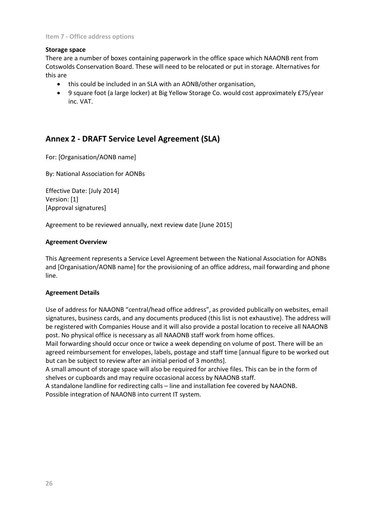## **Storage space**

There are a number of boxes containing paperwork in the office space which NAAONB rent from Cotswolds Conservation Board. These will need to be relocated or put in storage. Alternatives for this are

- this could be included in an SLA with an AONB/other organisation,
- 9 square foot (a large locker) at Big Yellow Storage Co. would cost approximately £75/year inc. VAT.

## **Annex 2 - DRAFT Service Level Agreement (SLA)**

For: [Organisation/AONB name]

By: National Association for AONBs

Effective Date: [July 2014] Version: [1] [Approval signatures]

Agreement to be reviewed annually, next review date [June 2015]

#### **Agreement Overview**

This Agreement represents a Service Level Agreement between the National Association for AONBs and [Organisation/AONB name] for the provisioning of an office address, mail forwarding and phone line.

## **Agreement Details**

Use of address for NAAONB "central/head office address", as provided publically on websites, email signatures, business cards, and any documents produced (this list is not exhaustive). The address will be registered with Companies House and it will also provide a postal location to receive all NAAONB post. No physical office is necessary as all NAAONB staff work from home offices.

Mail forwarding should occur once or twice a week depending on volume of post. There will be an agreed reimbursement for envelopes, labels, postage and staff time [annual figure to be worked out but can be subject to review after an initial period of 3 months].

A small amount of storage space will also be required for archive files. This can be in the form of shelves or cupboards and may require occasional access by NAAONB staff.

A standalone landline for redirecting calls – line and installation fee covered by NAAONB. Possible integration of NAAONB into current IT system.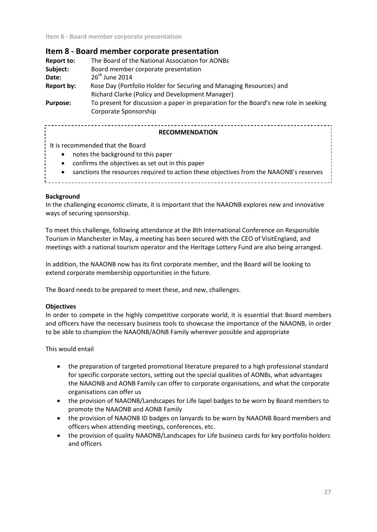**Item 8 - Board member corporate presentation**

## **Item 8 - Board member corporate presentation**

| <b>Report to:</b> | The Board of the National Association for AONBs                                      |  |
|-------------------|--------------------------------------------------------------------------------------|--|
| Subject:          | Board member corporate presentation                                                  |  |
| Date:             | $26th$ June 2014                                                                     |  |
| Report by:        | Rose Day (Portfolio Holder for Securing and Managing Resources) and                  |  |
|                   | Richard Clarke (Policy and Development Manager)                                      |  |
| <b>Purpose:</b>   | To present for discussion a paper in preparation for the Board's new role in seeking |  |
|                   | Corporate Sponsorship                                                                |  |

## **RECOMMENDATION**

It is recommended that the Board

- notes the background to this paper
- confirms the objectives as set out in this paper
- sanctions the resources required to action these objectives from the NAAONB's reserves

#### **Background**

In the challenging economic climate, it is important that the NAAONB explores new and innovative ways of securing sponsorship.

To meet this challenge, following attendance at the 8th International Conference on Responsible Tourism in Manchester in May, a meeting has been secured with the CEO of VisitEngland, and meetings with a national tourism operator and the Heritage Lottery Fund are also being arranged.

In addition, the NAAONB now has its first corporate member, and the Board will be looking to extend corporate membership opportunities in the future.

The Board needs to be prepared to meet these, and new, challenges.

## **Objectives**

In order to compete in the highly competitive corporate world, it is essential that Board members and officers have the necessary business tools to showcase the importance of the NAAONB, in order to be able to champion the NAAONB/AONB Family wherever possible and appropriate

This would entail

- the preparation of targeted promotional literature prepared to a high professional standard for specific corporate sectors, setting out the special qualities of AONBs, what advantages the NAAONB and AONB Family can offer to corporate organisations, and what the corporate organisations can offer us
- the provision of NAAONB/Landscapes for Life lapel badges to be worn by Board members to promote the NAAONB and AONB Family
- the provision of NAAONB ID badges on lanyards to be worn by NAAONB Board members and officers when attending meetings, conferences, etc.
- the provision of quality NAAONB/Landscapes for Life business cards for key portfolio holders and officers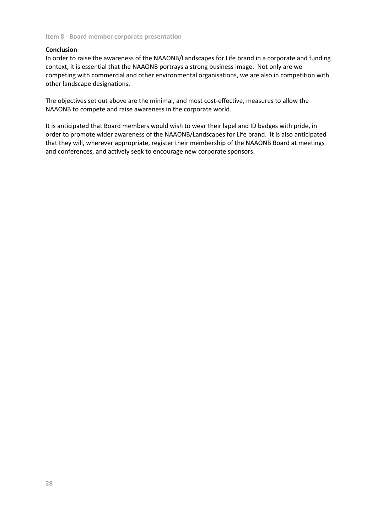#### **Conclusion**

In order to raise the awareness of the NAAONB/Landscapes for Life brand in a corporate and funding context, it is essential that the NAAONB portrays a strong business image. Not only are we competing with commercial and other environmental organisations, we are also in competition with other landscape designations.

The objectives set out above are the minimal, and most cost-effective, measures to allow the NAAONB to compete and raise awareness in the corporate world.

It is anticipated that Board members would wish to wear their lapel and ID badges with pride, in order to promote wider awareness of the NAAONB/Landscapes for Life brand. It is also anticipated that they will, wherever appropriate, register their membership of the NAAONB Board at meetings and conferences, and actively seek to encourage new corporate sponsors.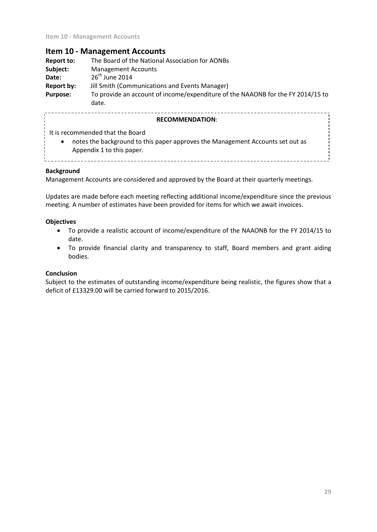## **Item 10 - Management Accounts**

| <b>Report to:</b> | The Board of the National Association for AONBs                                          |
|-------------------|------------------------------------------------------------------------------------------|
| Subject:          | <b>Management Accounts</b>                                                               |
| Date:             | $26th$ June 2014                                                                         |
| Report by:        | Jill Smith (Communications and Events Manager)                                           |
| <b>Purpose:</b>   | To provide an account of income/expenditure of the NAAONB for the FY 2014/15 to<br>date. |

#### **RECOMMENDATION**:

It is recommended that the Board

 notes the background to this paper approves the Management Accounts set out as Appendix 1 to this paper.

### **Background**

Management Accounts are considered and approved by the Board at their quarterly meetings.

Updates are made before each meeting reflecting additional income/expenditure since the previous meeting. A number of estimates have been provided for items for which we await invoices.

#### **Objectives**

- To provide a realistic account of income/expenditure of the NAAONB for the FY 2014/15 to date.
- To provide financial clarity and transparency to staff, Board members and grant aiding bodies.

## **Conclusion**

Subject to the estimates of outstanding income/expenditure being realistic, the figures show that a deficit of £13329.00 will be carried forward to 2015/2016.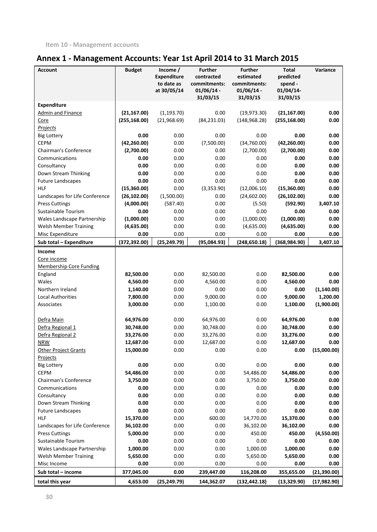# **Annex 1 - Management Accounts: Year 1st April 2014 to 31 March 2015**

| <b>Account</b>                 | <b>Budget</b> | Income /<br><b>Expenditure</b><br>to date as<br>at 30/05/14 | <b>Further</b><br>contracted<br>commitments:<br>$01/06/14$ -<br>31/03/15 | <b>Further</b><br>estimated<br>commitments:<br>$01/06/14$ -<br>31/03/15 | <b>Total</b><br>predicted<br>spend -<br>01/04/14-<br>31/03/15 | Variance     |
|--------------------------------|---------------|-------------------------------------------------------------|--------------------------------------------------------------------------|-------------------------------------------------------------------------|---------------------------------------------------------------|--------------|
| Expenditure                    |               |                                                             |                                                                          |                                                                         |                                                               |              |
| <b>Admin and Finance</b>       | (21, 167.00)  | (1, 193.70)                                                 | 0.00                                                                     | (19, 973.30)                                                            | (21, 167.00)                                                  | 0.00         |
| Core                           | (255, 168.00) | (21,968.69)                                                 | (84, 231.03)                                                             | (148, 968.28)                                                           | (255, 168.00)                                                 | 0.00         |
| Projects                       |               |                                                             |                                                                          |                                                                         |                                                               |              |
| <b>Big Lottery</b>             | 0.00          | 0.00                                                        | 0.00                                                                     | 0.00                                                                    | 0.00                                                          | 0.00         |
| <b>CEPM</b>                    | (42, 260.00)  | 0.00                                                        | (7,500.00)                                                               | (34,760.00)                                                             | (42, 260.00)                                                  | 0.00         |
| Chairman's Conference          | (2,700.00)    | 0.00                                                        | 0.00                                                                     | (2,700.00)                                                              | (2,700.00)                                                    | 0.00         |
| Communications                 | 0.00          | 0.00                                                        | 0.00                                                                     | 0.00                                                                    | 0.00                                                          | 0.00         |
| Consultancy                    | 0.00          | 0.00                                                        | 0.00                                                                     | 0.00                                                                    | 0.00                                                          | 0.00         |
| Down Stream Thinking           | 0.00          | 0.00                                                        | 0.00                                                                     | 0.00                                                                    | 0.00                                                          | 0.00         |
| <b>Future Landscapes</b>       | 0.00          | 0.00                                                        | 0.00                                                                     | 0.00                                                                    | 0.00                                                          | 0.00         |
| <b>HLF</b>                     | (15,360.00)   | 0.00                                                        | (3,353.90)                                                               | (12,006.10)                                                             | (15,360.00)                                                   | 0.00         |
| Landscapes for Life Conference | (26, 102.00)  | (1,500.00)                                                  | 0.00                                                                     | (24,602.00)                                                             | (26, 102.00)                                                  | 0.00         |
| <b>Press Cuttings</b>          | (4,000.00)    | (587.40)                                                    | 0.00                                                                     | (5.50)                                                                  | (592.90)                                                      | 3,407.10     |
| Sustainable Tourism            | 0.00          | 0.00                                                        | 0.00                                                                     | 0.00                                                                    | 0.00                                                          | 0.00         |
| Wales Landscape Partnership    | (1,000.00)    | 0.00                                                        | 0.00                                                                     | (1,000.00)                                                              | (1,000.00)                                                    | 0.00         |
| <b>Welsh Member Training</b>   | (4,635.00)    | 0.00                                                        | 0.00                                                                     | (4,635.00)                                                              | (4,635.00)                                                    | 0.00         |
| Misc Expenditure               | 0.00          | 0.00                                                        | 0.00                                                                     | 0.00                                                                    | 0.00                                                          | 0.00         |
| Sub total - Expenditure        | (372, 392.00) | (25, 249.79)                                                | (95,084.93)                                                              | (248, 650.18)                                                           | (368, 984.90)                                                 | 3,407.10     |
| Income                         |               |                                                             |                                                                          |                                                                         |                                                               |              |
| Core income                    |               |                                                             |                                                                          |                                                                         |                                                               |              |
| <b>Membership Core Funding</b> |               |                                                             |                                                                          |                                                                         |                                                               |              |
| England                        | 82,500.00     | 0.00                                                        | 82,500.00                                                                | 0.00                                                                    | 82,500.00                                                     | 0.00         |
| Wales                          | 4,560.00      | 0.00                                                        | 4,560.00                                                                 | 0.00                                                                    | 4,560.00                                                      | 0.00         |
| Northern Ireland               | 1,140.00      | 0.00                                                        | 0.00                                                                     | 0.00                                                                    | 0.00                                                          | (1, 140.00)  |
| <b>Local Authorities</b>       | 7,800.00      | 0.00                                                        | 9,000.00                                                                 | 0.00                                                                    | 9,000.00                                                      | 1,200.00     |
| Associates                     | 3,000.00      | 0.00                                                        | 1,100.00                                                                 | 0.00                                                                    | 1,100.00                                                      | (1,900.00)   |
|                                |               |                                                             |                                                                          |                                                                         |                                                               |              |
| Defra Main                     | 64,976.00     | 0.00                                                        | 64,976.00                                                                | 0.00                                                                    | 64,976.00                                                     | 0.00         |
| Defra Regional 1               | 30,748.00     | 0.00                                                        | 30,748.00                                                                | 0.00                                                                    | 30,748.00                                                     | 0.00         |
| Defra Regional 2               | 33,276.00     | 0.00                                                        | 33,276.00                                                                | 0.00                                                                    | 33,276.00                                                     | 0.00         |
| <b>NRW</b>                     | 12,687.00     | 0.00                                                        | 12,687.00                                                                | 0.00                                                                    | 12,687.00                                                     | 0.00         |
| <b>Other Project Grants</b>    | 15,000.00     | 0.00                                                        | 0.00                                                                     | 0.00                                                                    | 0.00                                                          | (15,000.00)  |
| Projects                       |               |                                                             |                                                                          |                                                                         |                                                               |              |
| <b>Big Lottery</b>             | 0.00          | 0.00                                                        | 0.00                                                                     | 0.00                                                                    | 0.00                                                          | 0.00         |
| <b>CEPM</b>                    | 54,486.00     | 0.00                                                        | 0.00                                                                     | 54,486.00                                                               | 54,486.00                                                     | 0.00         |
| Chairman's Conference          | 3,750.00      | 0.00                                                        | 0.00                                                                     | 3,750.00                                                                | 3,750.00                                                      | 0.00         |
| Communications                 | 0.00          | 0.00                                                        | 0.00                                                                     | 0.00                                                                    | 0.00                                                          | 0.00         |
| Consultancy                    | 0.00          | 0.00                                                        | 0.00                                                                     | 0.00                                                                    | 0.00                                                          | 0.00         |
| Down Stream Thinking           | 0.00          | 0.00                                                        | 0.00                                                                     | 0.00                                                                    | 0.00                                                          | 0.00         |
| <b>Future Landscapes</b>       | 0.00          | 0.00                                                        | 0.00                                                                     | 0.00                                                                    | 0.00                                                          | 0.00         |
| <b>HLF</b>                     | 15,370.00     | 0.00                                                        | 600.00                                                                   | 14,770.00                                                               | 15,370.00                                                     | 0.00         |
| Landscapes for Life Conference | 36,102.00     | 0.00                                                        | 0.00                                                                     | 36,102.00                                                               | 36,102.00                                                     | 0.00         |
| <b>Press Cuttings</b>          | 5,000.00      | 0.00                                                        | 0.00                                                                     | 450.00                                                                  | 450.00                                                        | (4,550.00)   |
| Sustainable Tourism            | 0.00          | 0.00                                                        | 0.00                                                                     | 0.00                                                                    | 0.00                                                          | 0.00         |
| Wales Landscape Partnership    | 1,000.00      | 0.00                                                        | 0.00                                                                     | 1,000.00                                                                | 1,000.00                                                      | 0.00         |
| <b>Welsh Member Training</b>   | 5,650.00      | 0.00                                                        | 0.00                                                                     | 5,650.00                                                                | 5,650.00                                                      | 0.00         |
| Misc Income                    | 0.00          | 0.00                                                        | 0.00                                                                     | 0.00                                                                    | 0.00                                                          | 0.00         |
| Sub total - income             | 377,045.00    | 0.00                                                        | 239,447.00                                                               | 116,208.00                                                              | 355,655.00                                                    | (21, 390.00) |
| total this year                | 4,653.00      | (25, 249.79)                                                | 144,362.07                                                               | (132, 442.18)                                                           | (13, 329.90)                                                  | (17, 982.90) |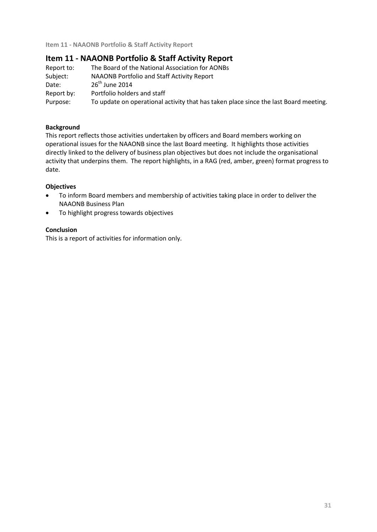## **Item 11 - NAAONB Portfolio & Staff Activity Report**

| Report to: | The Board of the National Association for AONBs                                      |
|------------|--------------------------------------------------------------------------------------|
| Subject:   | NAAONB Portfolio and Staff Activity Report                                           |
| Date:      | $26th$ June 2014                                                                     |
| Report by: | Portfolio holders and staff                                                          |
| Purpose:   | To update on operational activity that has taken place since the last Board meeting. |

## **Background**

This report reflects those activities undertaken by officers and Board members working on operational issues for the NAAONB since the last Board meeting. It highlights those activities directly linked to the delivery of business plan objectives but does not include the organisational activity that underpins them. The report highlights, in a RAG (red, amber, green) format progress to date.

## **Objectives**

- To inform Board members and membership of activities taking place in order to deliver the NAAONB Business Plan
- To highlight progress towards objectives

## **Conclusion**

This is a report of activities for information only.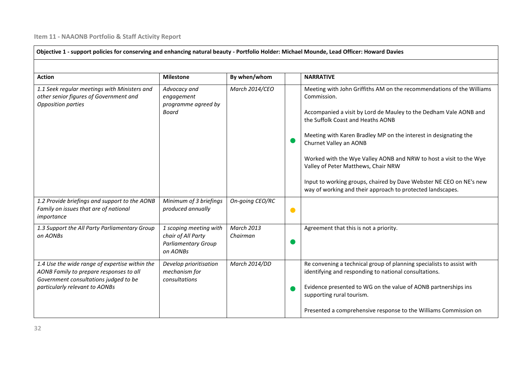| Objective 1 - support policies for conserving and enhancing natural beauty - Portfolio Holder: Michael Mounde, Lead Officer: Howard Davies                           |                                                                                        |                               |           |                                                                                                                                                                                                                                                                                                                                                                                                                                                                                                                                                |  |
|----------------------------------------------------------------------------------------------------------------------------------------------------------------------|----------------------------------------------------------------------------------------|-------------------------------|-----------|------------------------------------------------------------------------------------------------------------------------------------------------------------------------------------------------------------------------------------------------------------------------------------------------------------------------------------------------------------------------------------------------------------------------------------------------------------------------------------------------------------------------------------------------|--|
| <b>Action</b>                                                                                                                                                        | <b>Milestone</b>                                                                       | By when/whom                  |           | <b>NARRATIVE</b>                                                                                                                                                                                                                                                                                                                                                                                                                                                                                                                               |  |
| 1.1 Seek regular meetings with Ministers and<br>other senior figures of Government and<br>Opposition parties                                                         | Advocacy and<br>engagement<br>programme agreed by<br>Board                             | March 2014/CEO                |           | Meeting with John Griffiths AM on the recommendations of the Williams<br>Commission.<br>Accompanied a visit by Lord de Mauley to the Dedham Vale AONB and<br>the Suffolk Coast and Heaths AONB<br>Meeting with Karen Bradley MP on the interest in designating the<br>Churnet Valley an AONB<br>Worked with the Wye Valley AONB and NRW to host a visit to the Wye<br>Valley of Peter Matthews, Chair NRW<br>Input to working groups, chaired by Dave Webster NE CEO on NE's new<br>way of working and their approach to protected landscapes. |  |
| 1.2 Provide briefings and support to the AONB<br>Family on issues that are of national<br>importance                                                                 | Minimum of 3 briefings<br>produced annually                                            | On-going CEO/RC               | $\bullet$ |                                                                                                                                                                                                                                                                                                                                                                                                                                                                                                                                                |  |
| 1.3 Support the All Party Parliamentary Group<br>on AONBs                                                                                                            | 1 scoping meeting with<br>chair of All Party<br><b>Parliamentary Group</b><br>on AONBs | <b>March 2013</b><br>Chairman |           | Agreement that this is not a priority.                                                                                                                                                                                                                                                                                                                                                                                                                                                                                                         |  |
| 1.4 Use the wide range of expertise within the<br>AONB Family to prepare responses to all<br>Government consultations judged to be<br>particularly relevant to AONBs | Develop prioritisation<br>mechanism for<br>consultations                               | March 2014/DD                 |           | Re convening a technical group of planning specialists to assist with<br>identifying and responding to national consultations.<br>Evidence presented to WG on the value of AONB partnerships ins<br>supporting rural tourism.<br>Presented a comprehensive response to the Williams Commission on                                                                                                                                                                                                                                              |  |

 $\blacksquare$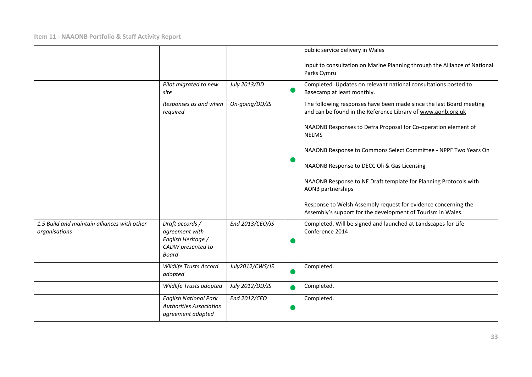|                                                              |                                                                                              |                 | public service delivery in Wales                                                                                                    |
|--------------------------------------------------------------|----------------------------------------------------------------------------------------------|-----------------|-------------------------------------------------------------------------------------------------------------------------------------|
|                                                              |                                                                                              |                 | Input to consultation on Marine Planning through the Alliance of National<br>Parks Cymru                                            |
|                                                              | Pilot migrated to new<br>site                                                                | July 2013/DD    | Completed. Updates on relevant national consultations posted to<br>Basecamp at least monthly.                                       |
|                                                              | Responses as and when<br>required                                                            | On-going/DD/JS  | The following responses have been made since the last Board meeting<br>and can be found in the Reference Library of www.aonb.org.uk |
|                                                              |                                                                                              |                 | NAAONB Responses to Defra Proposal for Co-operation element of<br><b>NELMS</b>                                                      |
|                                                              |                                                                                              |                 | NAAONB Response to Commons Select Committee - NPPF Two Years On                                                                     |
|                                                              |                                                                                              |                 | NAAONB Response to DECC Oli & Gas Licensing                                                                                         |
|                                                              |                                                                                              |                 | NAAONB Response to NE Draft template for Planning Protocols with<br><b>AONB</b> partnerships                                        |
|                                                              |                                                                                              |                 | Response to Welsh Assembly request for evidence concerning the<br>Assembly's support for the development of Tourism in Wales.       |
| 1.5 Build and maintain alliances with other<br>organisations | Draft accords /<br>agreement with<br>English Heritage /<br>CADW presented to<br><b>Board</b> | End 2013/CEO/JS | Completed. Will be signed and launched at Landscapes for Life<br>Conference 2014                                                    |
|                                                              | <b>Wildlife Trusts Accord</b><br>adopted                                                     | July2012/CWS/JS | Completed.                                                                                                                          |
|                                                              | Wildlife Trusts adopted                                                                      | July 2012/DD/JS | Completed.                                                                                                                          |
|                                                              | <b>English National Park</b><br><b>Authorities Association</b><br>agreement adopted          | End 2012/CEO    | Completed.                                                                                                                          |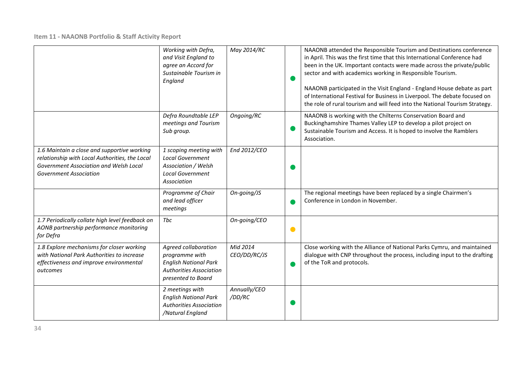|                                                                                                                                                                          | Working with Defra,<br>and Visit England to<br>agree an Accord for<br>Sustainable Tourism in<br>England                        | May 2014/RC              |   | NAAONB attended the Responsible Tourism and Destinations conference<br>in April. This was the first time that this International Conference had<br>been in the UK. Important contacts were made across the private/public<br>sector and with academics working in Responsible Tourism.<br>NAAONB participated in the Visit England - England House debate as part<br>of International Festival for Business in Liverpool. The debate focused on<br>the role of rural tourism and will feed into the National Tourism Strategy. |
|--------------------------------------------------------------------------------------------------------------------------------------------------------------------------|--------------------------------------------------------------------------------------------------------------------------------|--------------------------|---|--------------------------------------------------------------------------------------------------------------------------------------------------------------------------------------------------------------------------------------------------------------------------------------------------------------------------------------------------------------------------------------------------------------------------------------------------------------------------------------------------------------------------------|
|                                                                                                                                                                          | Defra Roundtable LEP<br>meetings and Tourism<br>Sub group.                                                                     | Ongoing/RC               |   | NAAONB is working with the Chilterns Conservation Board and<br>Buckinghamshire Thames Valley LEP to develop a pilot project on<br>Sustainable Tourism and Access. It is hoped to involve the Ramblers<br>Association.                                                                                                                                                                                                                                                                                                          |
| 1.6 Maintain a close and supportive working<br>relationship with Local Authorities, the Local<br>Government Association and Welsh Local<br><b>Government Association</b> | 1 scoping meeting with<br><b>Local Government</b><br>Association / Welsh<br><b>Local Government</b><br>Association             | End 2012/CEO             |   |                                                                                                                                                                                                                                                                                                                                                                                                                                                                                                                                |
|                                                                                                                                                                          | Programme of Chair<br>and lead officer<br>meetings                                                                             | On-going/JS              |   | The regional meetings have been replaced by a single Chairmen's<br>Conference in London in November.                                                                                                                                                                                                                                                                                                                                                                                                                           |
| 1.7 Periodically collate high level feedback on<br>AONB partnership performance monitoring<br>for Defra                                                                  | Tbc                                                                                                                            | On-going/CEO             | O |                                                                                                                                                                                                                                                                                                                                                                                                                                                                                                                                |
| 1.8 Explore mechanisms for closer working<br>with National Park Authorities to increase<br>effectiveness and improve environmental<br>outcomes                           | Agreed collaboration<br>programme with<br><b>English National Park</b><br><b>Authorities Association</b><br>presented to Board | Mid 2014<br>CEO/DD/RC/JS |   | Close working with the Alliance of National Parks Cymru, and maintained<br>dialogue with CNP throughout the process, including input to the drafting<br>of the ToR and protocols.                                                                                                                                                                                                                                                                                                                                              |
|                                                                                                                                                                          | 2 meetings with<br><b>English National Park</b><br><b>Authorities Association</b><br>/Natural England                          | Annually/CEO<br>/DD/RC   |   |                                                                                                                                                                                                                                                                                                                                                                                                                                                                                                                                |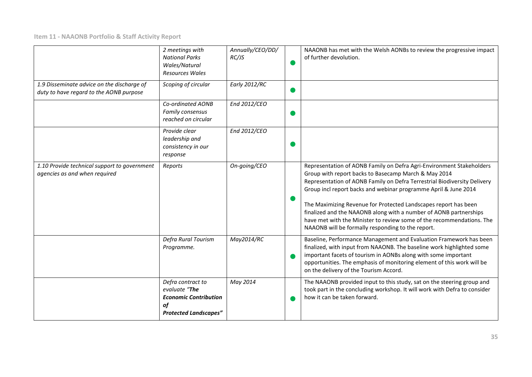|                                                                                       | 2 meetings with<br><b>National Parks</b><br>Wales/Natural<br><b>Resources Wales</b>                      | Annually/CEO/DD/<br>RC/JS | NAAONB has met with the Welsh AONBs to review the progressive impact<br>of further devolution.                                                                                                                                                                                                                                                                                                                                                                                                                                                    |
|---------------------------------------------------------------------------------------|----------------------------------------------------------------------------------------------------------|---------------------------|---------------------------------------------------------------------------------------------------------------------------------------------------------------------------------------------------------------------------------------------------------------------------------------------------------------------------------------------------------------------------------------------------------------------------------------------------------------------------------------------------------------------------------------------------|
| 1.9 Disseminate advice on the discharge of<br>duty to have regard to the AONB purpose | Scoping of circular                                                                                      | <b>Early 2012/RC</b>      |                                                                                                                                                                                                                                                                                                                                                                                                                                                                                                                                                   |
|                                                                                       | Co-ordinated AONB<br>Family consensus<br>reached on circular                                             | End 2012/CEO              |                                                                                                                                                                                                                                                                                                                                                                                                                                                                                                                                                   |
|                                                                                       | Provide clear<br>leadership and<br>consistency in our<br>response                                        | End 2012/CEO              |                                                                                                                                                                                                                                                                                                                                                                                                                                                                                                                                                   |
| 1.10 Provide technical support to government<br>agencies as and when required         | Reports                                                                                                  | On-going/CEO              | Representation of AONB Family on Defra Agri-Environment Stakeholders<br>Group with report backs to Basecamp March & May 2014<br>Representation of AONB Family on Defra Terrestrial Biodiversity Delivery<br>Group incl report backs and webinar programme April & June 2014<br>The Maximizing Revenue for Protected Landscapes report has been<br>finalized and the NAAONB along with a number of AONB partnerships<br>have met with the Minister to review some of the recommendations. The<br>NAAONB will be formally responding to the report. |
|                                                                                       | Defra Rural Tourism<br>Programme.                                                                        | May2014/RC                | Baseline, Performance Management and Evaluation Framework has been<br>finalized, with input from NAAONB. The baseline work highlighted some<br>important facets of tourism in AONBs along with some important<br>opportunities. The emphasis of monitoring element of this work will be<br>on the delivery of the Tourism Accord.                                                                                                                                                                                                                 |
|                                                                                       | Defra contract to<br>evaluate "The<br><b>Economic Contribution</b><br>of<br><b>Protected Landscapes"</b> | May 2014                  | The NAAONB provided input to this study, sat on the steering group and<br>took part in the concluding workshop. It will work with Defra to consider<br>how it can be taken forward.                                                                                                                                                                                                                                                                                                                                                               |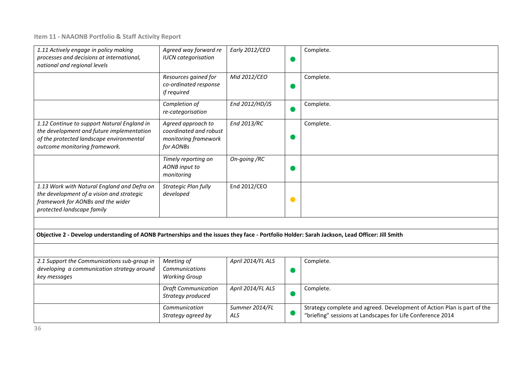| 1.11 Actively engage in policy making<br>processes and decisions at international,<br>national and regional levels                                                    | Agreed way forward re<br><b>IUCN</b> categorisation                               | Early 2012/CEO        |           | Complete.                                                                                                                             |
|-----------------------------------------------------------------------------------------------------------------------------------------------------------------------|-----------------------------------------------------------------------------------|-----------------------|-----------|---------------------------------------------------------------------------------------------------------------------------------------|
|                                                                                                                                                                       | Resources gained for<br>co-ordinated response<br>if required                      | Mid 2012/CEO          |           | Complete.                                                                                                                             |
|                                                                                                                                                                       | Completion of<br>re-categorisation                                                | End 2012/HD/JS        |           | Complete.                                                                                                                             |
| 1.12 Continue to support Natural England in<br>the development and future implementation<br>of the protected landscape environmental<br>outcome monitoring framework. | Agreed approach to<br>coordinated and robust<br>monitoring framework<br>for AONBs | End 2013/RC           |           | Complete.                                                                                                                             |
|                                                                                                                                                                       | Timely reporting on<br><b>AONB</b> input to<br>monitoring                         | On-going /RC          |           |                                                                                                                                       |
| 1.13 Work with Natural England and Defra on<br>the development of a vision and strategic<br>framework for AONBs and the wider<br>protected landscape family           | Strategic Plan fully<br>developed                                                 | End 2012/CEO          | $\bullet$ |                                                                                                                                       |
|                                                                                                                                                                       |                                                                                   |                       |           |                                                                                                                                       |
| Objective 2 - Develop understanding of AONB Partnerships and the issues they face - Portfolio Holder: Sarah Jackson, Lead Officer: Jill Smith                         |                                                                                   |                       |           |                                                                                                                                       |
|                                                                                                                                                                       |                                                                                   |                       |           |                                                                                                                                       |
| 2.1 Support the Communications sub-group in<br>developing a communication strategy around<br>key messages                                                             | Meeting of<br>Communications<br><b>Working Group</b>                              | April 2014/FL ALS     |           | Complete.                                                                                                                             |
|                                                                                                                                                                       | <b>Draft Communication</b><br>Strategy produced                                   | April 2014/FL ALS     |           | Complete.                                                                                                                             |
|                                                                                                                                                                       | Communication<br>Strategy agreed by                                               | Summer 2014/FL<br>ALS |           | Strategy complete and agreed. Development of Action Plan is part of the<br>"briefing" sessions at Landscapes for Life Conference 2014 |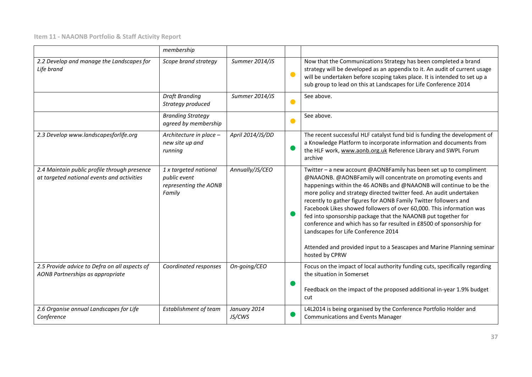|                                                                                            | membership                                                               |                        |           |                                                                                                                                                                                                                                                                                                                                                                                                                                                                                                                                                                                                                                                                                                         |
|--------------------------------------------------------------------------------------------|--------------------------------------------------------------------------|------------------------|-----------|---------------------------------------------------------------------------------------------------------------------------------------------------------------------------------------------------------------------------------------------------------------------------------------------------------------------------------------------------------------------------------------------------------------------------------------------------------------------------------------------------------------------------------------------------------------------------------------------------------------------------------------------------------------------------------------------------------|
| 2.2 Develop and manage the Landscapes for<br>Life brand                                    | Scope brand strategy                                                     | Summer 2014/JS         | $\bullet$ | Now that the Communications Strategy has been completed a brand<br>strategy will be developed as an appendix to it. An audit of current usage<br>will be undertaken before scoping takes place. It is intended to set up a<br>sub group to lead on this at Landscapes for Life Conference 2014                                                                                                                                                                                                                                                                                                                                                                                                          |
|                                                                                            | <b>Draft Branding</b><br>Strategy produced                               | Summer 2014/JS         | $\bullet$ | See above.                                                                                                                                                                                                                                                                                                                                                                                                                                                                                                                                                                                                                                                                                              |
|                                                                                            | <b>Branding Strategy</b><br>agreed by membership                         |                        |           | See above.                                                                                                                                                                                                                                                                                                                                                                                                                                                                                                                                                                                                                                                                                              |
| 2.3 Develop www.landscapesforlife.org                                                      | Architecture in place -<br>new site up and<br>running                    | April 2014/JS/DD       |           | The recent successful HLF catalyst fund bid is funding the development of<br>a Knowledge Platform to incorporate information and documents from<br>the HLF work, www.aonb.org.uk Reference Library and SWPL Forum<br>archive                                                                                                                                                                                                                                                                                                                                                                                                                                                                            |
| 2.4 Maintain public profile through presence<br>at targeted national events and activities | 1 x targeted national<br>public event<br>representing the AONB<br>Family | Annually/JS/CEO        |           | Twitter - a new account @AONBFamily has been set up to compliment<br>@NAAONB. @AONBFamily will concentrate on promoting events and<br>happenings within the 46 AONBs and @NAAONB will continue to be the<br>more policy and strategy directed twitter feed. An audit undertaken<br>recently to gather figures for AONB Family Twitter followers and<br>Facebook Likes showed followers of over 60,000. This information was<br>fed into sponsorship package that the NAAONB put together for<br>conference and which has so far resulted in £8500 of sponsorship for<br>Landscapes for Life Conference 2014<br>Attended and provided input to a Seascapes and Marine Planning seminar<br>hosted by CPRW |
| 2.5 Provide advice to Defra on all aspects of<br>AONB Partnerships as appropriate          | Coordinated responses                                                    | On-going/CEO           |           | Focus on the impact of local authority funding cuts, specifically regarding<br>the situation in Somerset<br>Feedback on the impact of the proposed additional in-year 1.9% budget<br>cut                                                                                                                                                                                                                                                                                                                                                                                                                                                                                                                |
| 2.6 Organise annual Landscapes for Life<br>Conference                                      | <b>Establishment of team</b>                                             | January 2014<br>JS/CWS |           | L4L2014 is being organised by the Conference Portfolio Holder and<br><b>Communications and Events Manager</b>                                                                                                                                                                                                                                                                                                                                                                                                                                                                                                                                                                                           |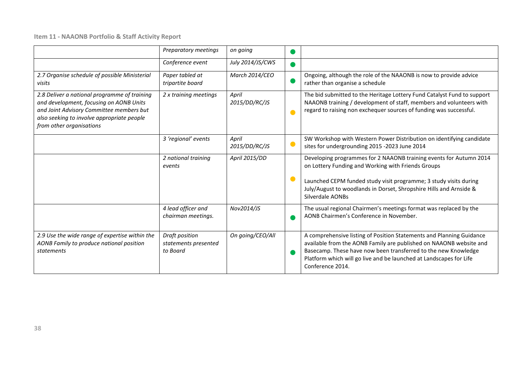|                                                                                                                                                                                                               | Preparatory meetings                               | on going               |     |                                                                                                                                                                                                                                                                                                        |
|---------------------------------------------------------------------------------------------------------------------------------------------------------------------------------------------------------------|----------------------------------------------------|------------------------|-----|--------------------------------------------------------------------------------------------------------------------------------------------------------------------------------------------------------------------------------------------------------------------------------------------------------|
|                                                                                                                                                                                                               | Conference event                                   | July 2014/JS/CWS       | a a |                                                                                                                                                                                                                                                                                                        |
| 2.7 Organise schedule of possible Ministerial<br>visits                                                                                                                                                       | Paper tabled at<br>tripartite board                | March 2014/CEO         |     | Ongoing, although the role of the NAAONB is now to provide advice<br>rather than organise a schedule                                                                                                                                                                                                   |
| 2.8 Deliver a national programme of training<br>and development, focusing on AONB Units<br>and Joint Advisory Committee members but<br>also seeking to involve appropriate people<br>from other organisations | 2 x training meetings                              | April<br>2015/DD/RC/JS |     | The bid submitted to the Heritage Lottery Fund Catalyst Fund to support<br>NAAONB training / development of staff, members and volunteers with<br>regard to raising non exchequer sources of funding was successful.                                                                                   |
|                                                                                                                                                                                                               | 3 'regional' events                                | April<br>2015/DD/RC/JS | O   | SW Workshop with Western Power Distribution on identifying candidate<br>sites for undergrounding 2015 -2023 June 2014                                                                                                                                                                                  |
|                                                                                                                                                                                                               | 2 national training<br>events                      | April 2015/DD          |     | Developing programmes for 2 NAAONB training events for Autumn 2014<br>on Lottery Funding and Working with Friends Groups                                                                                                                                                                               |
|                                                                                                                                                                                                               |                                                    |                        |     | Launched CEPM funded study visit programme; 3 study visits during<br>July/August to woodlands in Dorset, Shropshire Hills and Arnside &<br>Silverdale AONBs                                                                                                                                            |
|                                                                                                                                                                                                               | 4 lead officer and<br>chairman meetings.           | Nov2014/JS             |     | The usual regional Chairmen's meetings format was replaced by the<br>AONB Chairmen's Conference in November.                                                                                                                                                                                           |
| 2.9 Use the wide range of expertise within the<br>AONB Family to produce national position<br>statements                                                                                                      | Draft position<br>statements presented<br>to Board | On going/CEO/All       |     | A comprehensive listing of Position Statements and Planning Guidance<br>available from the AONB Family are published on NAAONB website and<br>Basecamp. These have now been transferred to the new Knowledge<br>Platform which will go live and be launched at Landscapes for Life<br>Conference 2014. |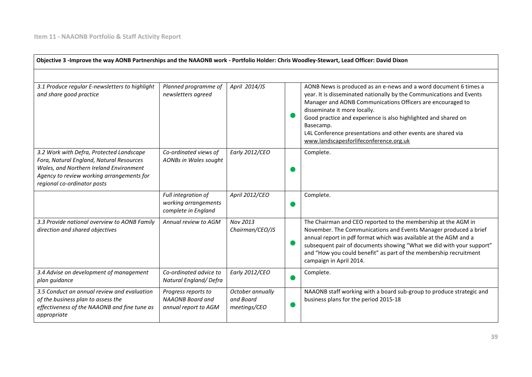| Objective 3 -Improve the way AONB Partnerships and the NAAONB work - Portfolio Holder: Chris Woodley-Stewart, Lead Officer: David Dixon                                                                     |                                                                        |                                               |  |                                                                                                                                                                                                                                                                                                                                                                                                                                 |  |
|-------------------------------------------------------------------------------------------------------------------------------------------------------------------------------------------------------------|------------------------------------------------------------------------|-----------------------------------------------|--|---------------------------------------------------------------------------------------------------------------------------------------------------------------------------------------------------------------------------------------------------------------------------------------------------------------------------------------------------------------------------------------------------------------------------------|--|
|                                                                                                                                                                                                             |                                                                        |                                               |  |                                                                                                                                                                                                                                                                                                                                                                                                                                 |  |
| 3.1 Produce regular E-newsletters to highlight<br>and share good practice                                                                                                                                   | Planned programme of<br>newsletters agreed                             | April 2014/JS                                 |  | AONB News is produced as an e-news and a word document 6 times a<br>year. It is disseminated nationally by the Communications and Events<br>Manager and AONB Communications Officers are encouraged to<br>disseminate it more locally.<br>Good practice and experience is also highlighted and shared on<br>Basecamp.<br>L4L Conference presentations and other events are shared via<br>www.landscapesforlifeconference.org.uk |  |
| 3.2 Work with Defra, Protected Landscape<br>Fora, Natural England, Natural Resources<br>Wales, and Northern Ireland Environment<br>Agency to review working arrangements for<br>regional co-ordinator posts | Co-ordinated views of<br>AONBs in Wales sought                         | Early 2012/CEO                                |  | Complete.                                                                                                                                                                                                                                                                                                                                                                                                                       |  |
|                                                                                                                                                                                                             | Full integration of<br>working arrangements<br>complete in England     | April 2012/CEO                                |  | Complete.                                                                                                                                                                                                                                                                                                                                                                                                                       |  |
| 3.3 Provide national overview to AONB Family<br>direction and shared objectives                                                                                                                             | Annual review to AGM                                                   | Nov 2013<br>Chairman/CEO/JS                   |  | The Chairman and CEO reported to the membership at the AGM in<br>November. The Communications and Events Manager produced a brief<br>annual report in pdf format which was available at the AGM and a<br>subsequent pair of documents showing "What we did with your support"<br>and "How you could benefit" as part of the membership recruitment<br>campaign in April 2014.                                                   |  |
| 3.4 Advise on development of management<br>plan guidance                                                                                                                                                    | Co-ordinated advice to<br>Natural England/Defra                        | Early 2012/CEO                                |  | Complete.                                                                                                                                                                                                                                                                                                                                                                                                                       |  |
| 3.5 Conduct an annual review and evaluation<br>of the business plan to assess the<br>effectiveness of the NAAONB and fine tune as<br>appropriate                                                            | Progress reports to<br><b>NAAONB Board and</b><br>annual report to AGM | October annually<br>and Board<br>meetings/CEO |  | NAAONB staff working with a board sub-group to produce strategic and<br>business plans for the period 2015-18                                                                                                                                                                                                                                                                                                                   |  |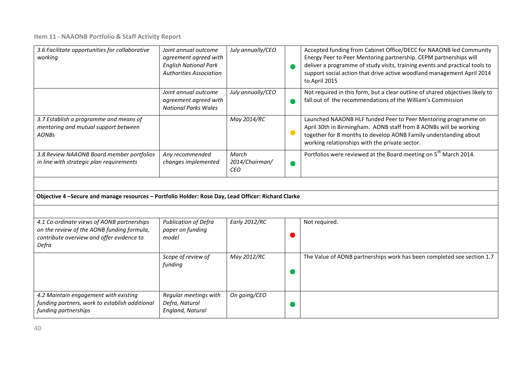| 3.6 Facilitate opportunities for collaborative<br>working                                                                                      | Joint annual outcome<br>agreement agreed with<br><b>English National Park</b><br><b>Authorities Association</b> | July annually/CEO                     |           | Accepted funding from Cabinet Office/DECC for NAAONB led Community<br>Energy Peer to Peer Mentoring partnership. CEPM partnerships will<br>deliver a programme of study visits, training events and practical tools to<br>support social action that drive active woodland management April 2014<br>to April 2015 |
|------------------------------------------------------------------------------------------------------------------------------------------------|-----------------------------------------------------------------------------------------------------------------|---------------------------------------|-----------|-------------------------------------------------------------------------------------------------------------------------------------------------------------------------------------------------------------------------------------------------------------------------------------------------------------------|
|                                                                                                                                                | Joint annual outcome<br>agreement agreed with<br><b>National Parks Wales</b>                                    | July annually/CEO                     |           | Not required in this form, but a clear outline of shared objectives likely to<br>fall out of the recommendations of the William's Commission                                                                                                                                                                      |
| 3.7 Establish a programme and means of<br>mentoring and mutual support between<br><b>AONBs</b>                                                 |                                                                                                                 | May 2014/RC                           | $\bullet$ | Launched NAAONB HLF funded Peer to Peer Mentoring programme on<br>April 30th in Birmingham. AONB staff from 8 AONBs will be working<br>together for 8 months to develop AONB Family understanding about<br>working relationships with the private sector.                                                         |
| 3.8 Review NAAONB Board member portfolios<br>in line with strategic plan requirements                                                          | Any recommended<br>changes implemented                                                                          | March<br>2014/Chairman/<br><b>CEO</b> |           | Portfolios were reviewed at the Board meeting on 5 <sup>th</sup> March 2014.                                                                                                                                                                                                                                      |
|                                                                                                                                                |                                                                                                                 |                                       |           |                                                                                                                                                                                                                                                                                                                   |
| Objective 4 -Secure and manage resources - Portfolio Holder: Rose Day, Lead Officer: Richard Clarke                                            |                                                                                                                 |                                       |           |                                                                                                                                                                                                                                                                                                                   |
|                                                                                                                                                |                                                                                                                 |                                       |           |                                                                                                                                                                                                                                                                                                                   |
| 4.1 Co-ordinate views of AONB partnerships<br>on the review of the AONB funding formula,<br>contribute overview and offer evidence to<br>Defra | <b>Publication of Defra</b><br>paper on funding<br>model                                                        | Early 2012/RC                         |           | Not required.                                                                                                                                                                                                                                                                                                     |
|                                                                                                                                                | Scope of review of<br>funding                                                                                   | May 2012/RC                           |           | The Value of AONB partnerships work has been completed see section 1.7                                                                                                                                                                                                                                            |
| 4.2 Maintain engagement with existing<br>funding partners, work to establish additional<br>funding partnerships                                | Regular meetings with<br>Defra, Natural<br>England, Natural                                                     | On going/CEO                          |           |                                                                                                                                                                                                                                                                                                                   |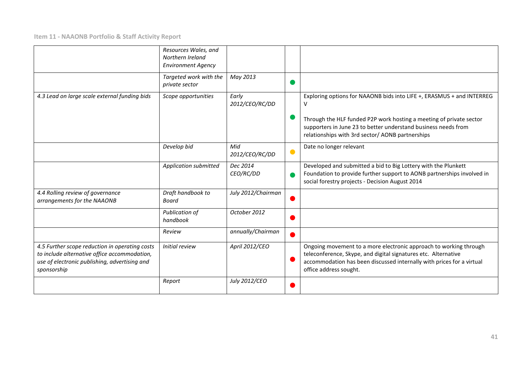|                                                                                                                                                                | Resources Wales, and<br>Northern Ireland<br><b>Environment Agency</b> |                         |   |                                                                                                                                                                                                                                        |
|----------------------------------------------------------------------------------------------------------------------------------------------------------------|-----------------------------------------------------------------------|-------------------------|---|----------------------------------------------------------------------------------------------------------------------------------------------------------------------------------------------------------------------------------------|
|                                                                                                                                                                | Targeted work with the<br>private sector                              | May 2013                |   |                                                                                                                                                                                                                                        |
| 4.3 Lead on large scale external funding bids                                                                                                                  | Scope opportunities                                                   | Early<br>2012/CEO/RC/DD |   | Exploring options for NAAONB bids into LIFE +, ERASMUS + and INTERREG<br>V                                                                                                                                                             |
|                                                                                                                                                                |                                                                       |                         |   | Through the HLF funded P2P work hosting a meeting of private sector<br>supporters in June 23 to better understand business needs from<br>relationships with 3rd sector/ AONB partnerships                                              |
|                                                                                                                                                                | Develop bid                                                           | Mid<br>2012/CEO/RC/DD   | O | Date no longer relevant                                                                                                                                                                                                                |
|                                                                                                                                                                | Application submitted                                                 | Dec 2014<br>CEO/RC/DD   |   | Developed and submitted a bid to Big Lottery with the Plunkett<br>Foundation to provide further support to AONB partnerships involved in<br>social forestry projects - Decision August 2014                                            |
| 4.4 Rolling review of governance<br>arrangements for the NAAONB                                                                                                | Draft handbook to<br>Board                                            | July 2012/Chairman      |   |                                                                                                                                                                                                                                        |
|                                                                                                                                                                | Publication of<br>handbook                                            | October 2012            |   |                                                                                                                                                                                                                                        |
|                                                                                                                                                                | Review                                                                | annually/Chairman       |   |                                                                                                                                                                                                                                        |
| 4.5 Further scope reduction in operating costs<br>to include alternative office accommodation,<br>use of electronic publishing, advertising and<br>sponsorship | Initial review                                                        | April 2012/CEO          |   | Ongoing movement to a more electronic approach to working through<br>teleconference, Skype, and digital signatures etc. Alternative<br>accommodation has been discussed internally with prices for a virtual<br>office address sought. |
|                                                                                                                                                                | Report                                                                | July 2012/CEO           |   |                                                                                                                                                                                                                                        |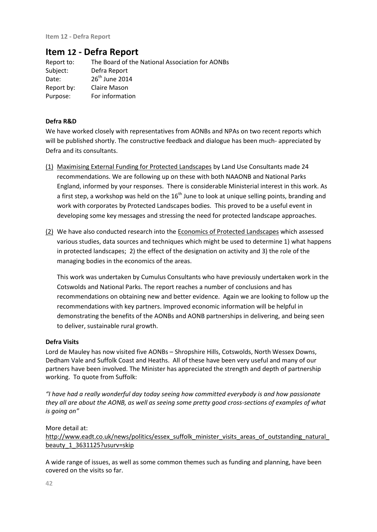# **Item 12 - Defra Report**

| Report to: | The Board of the National Association for AONBs |
|------------|-------------------------------------------------|
| Subject:   | Defra Report                                    |
| Date:      | 26 <sup>th</sup> June 2014                      |
| Report by: | Claire Mason                                    |
| Purpose:   | For information                                 |

## **Defra R&D**

We have worked closely with representatives from AONBs and NPAs on two recent reports which will be published shortly. The constructive feedback and dialogue has been much- appreciated by Defra and its consultants.

- (1) Maximising External Funding for Protected Landscapes by Land Use Consultants made 24 recommendations. We are following up on these with both NAAONB and National Parks England, informed by your responses. There is considerable Ministerial interest in this work. As a first step, a workshop was held on the  $16<sup>th</sup>$  June to look at unique selling points, branding and work with corporates by Protected Landscapes bodies. This proved to be a useful event in developing some key messages and stressing the need for protected landscape approaches.
- (2) We have also conducted research into the Economics of Protected Landscapes which assessed various studies, data sources and techniques which might be used to determine 1) what happens in protected landscapes; 2) the effect of the designation on activity and 3) the role of the managing bodies in the economics of the areas.

This work was undertaken by Cumulus Consultants who have previously undertaken work in the Cotswolds and National Parks. The report reaches a number of conclusions and has recommendations on obtaining new and better evidence. Again we are looking to follow up the recommendations with key partners. Improved economic information will be helpful in demonstrating the benefits of the AONBs and AONB partnerships in delivering, and being seen to deliver, sustainable rural growth.

## **Defra Visits**

Lord de Mauley has now visited five AONBs – Shropshire Hills, Cotswolds, North Wessex Downs, Dedham Vale and Suffolk Coast and Heaths. All of these have been very useful and many of our partners have been involved. The Minister has appreciated the strength and depth of partnership working. To quote from Suffolk:

*"I have had a really wonderful day today seeing how committed everybody is and how passionate they all are about the AONB, as well as seeing some pretty good cross-sections of examples of what is going on"*

## More detail at:

http://www.eadt.co.uk/news/politics/essex\_suffolk\_minister\_visits\_areas\_of\_outstanding\_natural beauty 1 3631125?usurv=skip

A wide range of issues, as well as some common themes such as funding and planning, have been covered on the visits so far.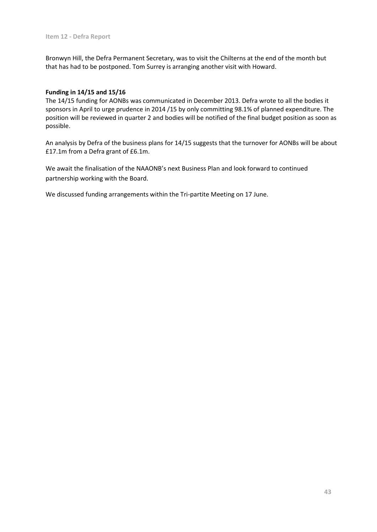Bronwyn Hill, the Defra Permanent Secretary, was to visit the Chilterns at the end of the month but that has had to be postponed. Tom Surrey is arranging another visit with Howard.

## **Funding in 14/15 and 15/16**

The 14/15 funding for AONBs was communicated in December 2013. Defra wrote to all the bodies it sponsors in April to urge prudence in 2014 /15 by only committing 98.1% of planned expenditure. The position will be reviewed in quarter 2 and bodies will be notified of the final budget position as soon as possible.

An analysis by Defra of the business plans for 14/15 suggests that the turnover for AONBs will be about £17.1m from a Defra grant of £6.1m.

We await the finalisation of the NAAONB's next Business Plan and look forward to continued partnership working with the Board.

We discussed funding arrangements within the Tri-partite Meeting on 17 June.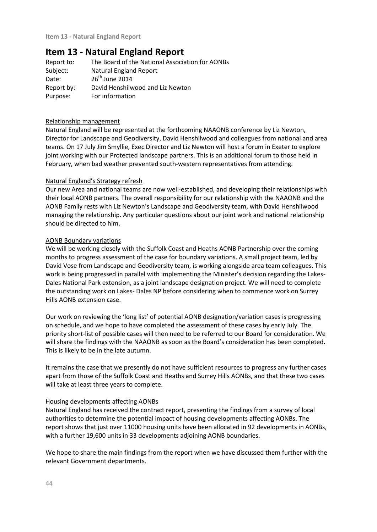# **Item 13 - Natural England Report**

| The Board of the National Association for AONBs |
|-------------------------------------------------|
| Natural England Report                          |
| $26th$ June 2014                                |
| David Henshilwood and Liz Newton                |
| For information                                 |
|                                                 |

## Relationship management

Natural England will be represented at the forthcoming NAAONB conference by Liz Newton, Director for Landscape and Geodiversity, David Henshilwood and colleagues from national and area teams. On 17 July Jim Smyllie, Exec Director and Liz Newton will host a forum in Exeter to explore joint working with our Protected landscape partners. This is an additional forum to those held in February, when bad weather prevented south-western representatives from attending.

#### Natural England's Strategy refresh

Our new Area and national teams are now well-established, and developing their relationships with their local AONB partners. The overall responsibility for our relationship with the NAAONB and the AONB Family rests with Liz Newton's Landscape and Geodiversity team, with David Henshilwood managing the relationship. Any particular questions about our joint work and national relationship should be directed to him.

#### AONB Boundary variations

We will be working closely with the Suffolk Coast and Heaths AONB Partnership over the coming months to progress assessment of the case for boundary variations. A small project team, led by David Vose from Landscape and Geodiversity team, is working alongside area team colleagues. This work is being progressed in parallel with implementing the Minister's decision regarding the Lakes-Dales National Park extension, as a joint landscape designation project. We will need to complete the outstanding work on Lakes- Dales NP before considering when to commence work on Surrey Hills AONB extension case.

Our work on reviewing the 'long list' of potential AONB designation/variation cases is progressing on schedule, and we hope to have completed the assessment of these cases by early July. The priority short-list of possible cases will then need to be referred to our Board for consideration. We will share the findings with the NAAONB as soon as the Board's consideration has been completed. This is likely to be in the late autumn.

It remains the case that we presently do not have sufficient resources to progress any further cases apart from those of the Suffolk Coast and Heaths and Surrey Hills AONBs, and that these two cases will take at least three years to complete.

## Housing developments affecting AONBs

Natural England has received the contract report, presenting the findings from a survey of local authorities to determine the potential impact of housing developments affecting AONBs. The report shows that just over 11000 housing units have been allocated in 92 developments in AONBs, with a further 19,600 units in 33 developments adjoining AONB boundaries.

We hope to share the main findings from the report when we have discussed them further with the relevant Government departments.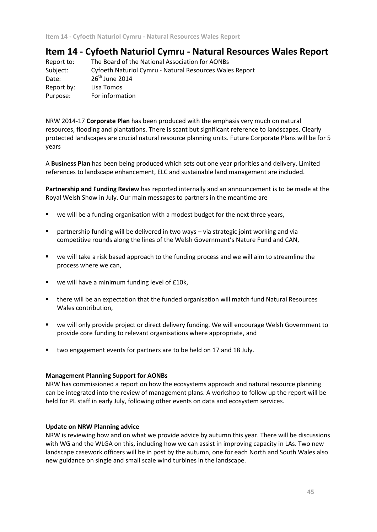# **Item 14 - Cyfoeth Naturiol Cymru - Natural Resources Wales Report**

| Report to: | The Board of the National Association for AONBs         |
|------------|---------------------------------------------------------|
| Subject:   | Cyfoeth Naturiol Cymru - Natural Resources Wales Report |
| Date:      | $26th$ June 2014                                        |
| Report by: | Lisa Tomos                                              |
| Purpose:   | For information                                         |
|            |                                                         |

NRW 2014-17 **Corporate Plan** has been produced with the emphasis very much on natural resources, flooding and plantations. There is scant but significant reference to landscapes. Clearly protected landscapes are crucial natural resource planning units. Future Corporate Plans will be for 5 years

A **Business Plan** has been being produced which sets out one year priorities and delivery. Limited references to landscape enhancement, ELC and sustainable land management are included.

**Partnership and Funding Review** has reported internally and an announcement is to be made at the Royal Welsh Show in July. Our main messages to partners in the meantime are

- we will be a funding organisation with a modest budget for the next three years,
- partnership funding will be delivered in two ways via strategic joint working and via competitive rounds along the lines of the Welsh Government's Nature Fund and CAN,
- we will take a risk based approach to the funding process and we will aim to streamline the process where we can,
- we will have a minimum funding level of £10k,
- there will be an expectation that the funded organisation will match fund Natural Resources Wales contribution,
- we will only provide project or direct delivery funding. We will encourage Welsh Government to provide core funding to relevant organisations where appropriate, and
- **•** two engagement events for partners are to be held on 17 and 18 July.

## **Management Planning Support for AONBs**

NRW has commissioned a report on how the ecosystems approach and natural resource planning can be integrated into the review of management plans. A workshop to follow up the report will be held for PL staff in early July, following other events on data and ecosystem services.

#### **Update on NRW Planning advice**

NRW is reviewing how and on what we provide advice by autumn this year. There will be discussions with WG and the WLGA on this, including how we can assist in improving capacity in LAs. Two new landscape casework officers will be in post by the autumn, one for each North and South Wales also new guidance on single and small scale wind turbines in the landscape.